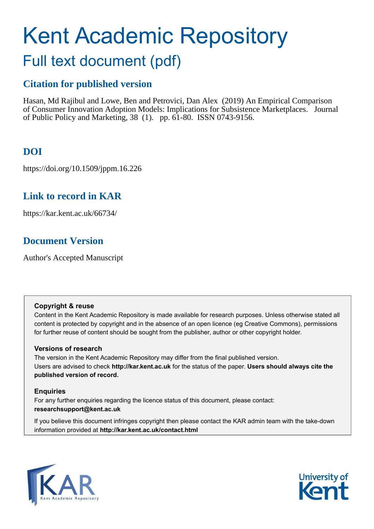# Kent Academic Repository

## Full text document (pdf)

## **Citation for published version**

Hasan, Md Rajibul and Lowe, Ben and Petrovici, Dan Alex (2019) An Empirical Comparison of Consumer Innovation Adoption Models: Implications for Subsistence Marketplaces. Journal of Public Policy and Marketing, 38 (1). pp. 61-80. ISSN 0743-9156.

## **DOI**

https://doi.org/10.1509/jppm.16.226

## **Link to record in KAR**

https://kar.kent.ac.uk/66734/

## **Document Version**

Author's Accepted Manuscript

#### **Copyright & reuse**

Content in the Kent Academic Repository is made available for research purposes. Unless otherwise stated all content is protected by copyright and in the absence of an open licence (eg Creative Commons), permissions for further reuse of content should be sought from the publisher, author or other copyright holder.

#### **Versions of research**

The version in the Kent Academic Repository may differ from the final published version. Users are advised to check **http://kar.kent.ac.uk** for the status of the paper. **Users should always cite the published version of record.**

#### **Enquiries**

For any further enquiries regarding the licence status of this document, please contact: **researchsupport@kent.ac.uk**

If you believe this document infringes copyright then please contact the KAR admin team with the take-down information provided at **http://kar.kent.ac.uk/contact.html**



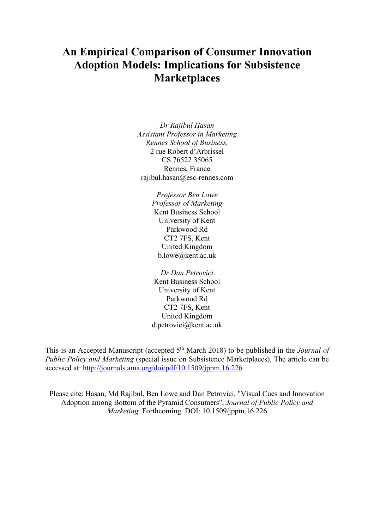## **An Empirical Comparison of Consumer Innovation Adoption Models: Implications for Subsistence Marketplaces**

*Dr Rajibul Hasan Assistant Professor in Marketing Rennes School of Business,*  2 rue Robert d'Arbrissel CS 76522 35065 Rennes, France rajibul.hasan@esc-rennes.com

> *Professor Ben Lowe Professor of Marketing*  Kent Business School University of Kent Parkwood Rd CT2 7FS, Kent United Kingdom b.lowe@kent.ac.uk

> *Dr Dan Petrovici*  Kent Business School University of Kent Parkwood Rd CT2 7FS, Kent United Kingdom d.petrovici@kent.ac.uk

This is an Accepted Manuscript (accepted 5th March 2018) to be published in the *Journal of Public Policy and Marketing* (special issue on Subsistence Marketplaces). The article can be accessed at: http://journals.ama.org/doi/pdf/10.1509/jppm.16.226

Please cite: Hasan, Md Rajibul, Ben Lowe and Dan Petrovici, "Visual Cues and Innovation Adoption among Bottom of the Pyramid Consumers", *Journal of Public Policy and Marketing,* Forthcoming. DOI: 10.1509/jppm.16.226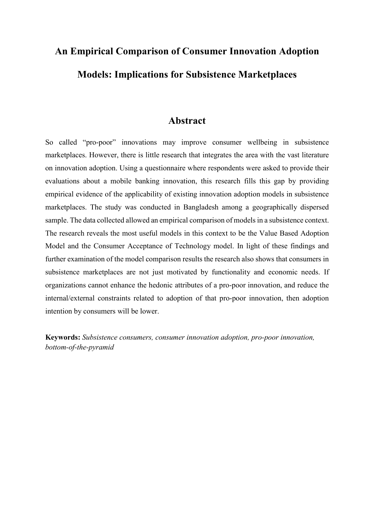# **An Empirical Comparison of Consumer Innovation Adoption Models: Implications for Subsistence Marketplaces**

#### **Abstract**

So called "pro-poor" innovations may improve consumer wellbeing in subsistence marketplaces. However, there is little research that integrates the area with the vast literature on innovation adoption. Using a questionnaire where respondents were asked to provide their evaluations about a mobile banking innovation, this research fills this gap by providing empirical evidence of the applicability of existing innovation adoption models in subsistence marketplaces. The study was conducted in Bangladesh among a geographically dispersed sample. The data collected allowed an empirical comparison of models in a subsistence context. The research reveals the most useful models in this context to be the Value Based Adoption Model and the Consumer Acceptance of Technology model. In light of these findings and further examination of the model comparison results the research also shows that consumers in subsistence marketplaces are not just motivated by functionality and economic needs. If organizations cannot enhance the hedonic attributes of a pro-poor innovation, and reduce the internal/external constraints related to adoption of that pro-poor innovation, then adoption intention by consumers will be lower.

**Keywords:** *Subsistence consumers, consumer innovation adoption, pro-poor innovation, bottom-of-the-pyramid*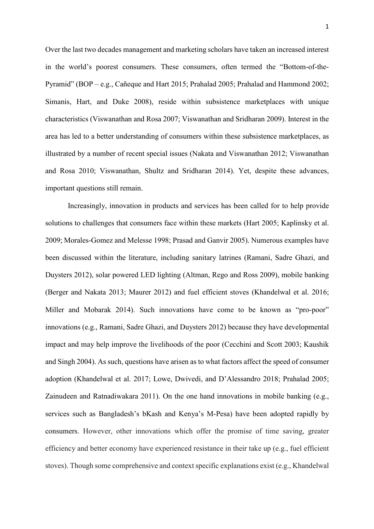Over the last two decades management and marketing scholars have taken an increased interest in the world's poorest consumers. These consumers, often termed the "Bottom-of-the-Pyramid" (BOP – e.g., Cañeque and Hart 2015; Prahalad 2005; Prahalad and Hammond 2002; Simanis, Hart, and Duke 2008), reside within subsistence marketplaces with unique characteristics (Viswanathan and Rosa 2007; Viswanathan and Sridharan 2009). Interest in the area has led to a better understanding of consumers within these subsistence marketplaces, as illustrated by a number of recent special issues (Nakata and Viswanathan 2012; Viswanathan and Rosa 2010; Viswanathan, Shultz and Sridharan 2014). Yet, despite these advances, important questions still remain.

Increasingly, innovation in products and services has been called for to help provide solutions to challenges that consumers face within these markets (Hart 2005; Kaplinsky et al. 2009; Morales-Gomez and Melesse 1998; Prasad and Ganvir 2005). Numerous examples have been discussed within the literature, including sanitary latrines (Ramani, Sadre Ghazi, and Duysters 2012), solar powered LED lighting (Altman, Rego and Ross 2009), mobile banking (Berger and Nakata 2013; Maurer 2012) and fuel efficient stoves (Khandelwal et al. 2016; Miller and Mobarak 2014). Such innovations have come to be known as "pro-poor" innovations (e.g., Ramani, Sadre Ghazi, and Duysters 2012) because they have developmental impact and may help improve the livelihoods of the poor (Cecchini and Scott 2003; Kaushik and Singh 2004). As such, questions have arisen as to what factors affect the speed of consumer adoption (Khandelwal et al. 2017; Lowe, Dwivedi, and D'Alessandro 2018; Prahalad 2005; Zainudeen and Ratnadiwakara 2011). On the one hand innovations in mobile banking (e.g., services such as Bangladesh's bKash and Kenya's M-Pesa) have been adopted rapidly by consumers. However, other innovations which offer the promise of time saving, greater efficiency and better economy have experienced resistance in their take up (e.g., fuel efficient stoves). Though some comprehensive and context specific explanations exist (e.g., Khandelwal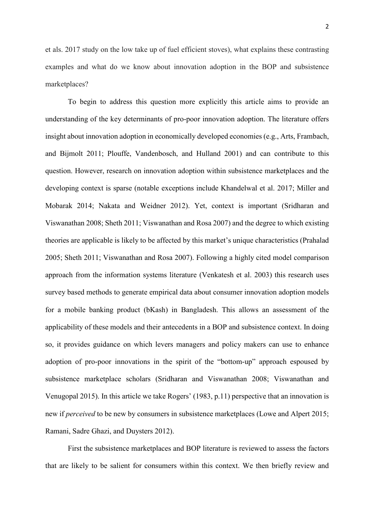et als. 2017 study on the low take up of fuel efficient stoves), what explains these contrasting examples and what do we know about innovation adoption in the BOP and subsistence marketplaces?

 To begin to address this question more explicitly this article aims to provide an understanding of the key determinants of pro-poor innovation adoption. The literature offers insight about innovation adoption in economically developed economies (e.g., Arts, Frambach, and Bijmolt 2011; Plouffe, Vandenbosch, and Hulland 2001) and can contribute to this question. However, research on innovation adoption within subsistence marketplaces and the developing context is sparse (notable exceptions include Khandelwal et al. 2017; Miller and Mobarak 2014; Nakata and Weidner 2012). Yet, context is important (Sridharan and Viswanathan 2008; Sheth 2011; Viswanathan and Rosa 2007) and the degree to which existing theories are applicable is likely to be affected by this market's unique characteristics (Prahalad 2005; Sheth 2011; Viswanathan and Rosa 2007). Following a highly cited model comparison approach from the information systems literature (Venkatesh et al. 2003) this research uses survey based methods to generate empirical data about consumer innovation adoption models for a mobile banking product (bKash) in Bangladesh. This allows an assessment of the applicability of these models and their antecedents in a BOP and subsistence context. In doing so, it provides guidance on which levers managers and policy makers can use to enhance adoption of pro-poor innovations in the spirit of the "bottom-up" approach espoused by subsistence marketplace scholars (Sridharan and Viswanathan 2008; Viswanathan and Venugopal 2015). In this article we take Rogers' (1983, p.11) perspective that an innovation is new if *perceived* to be new by consumers in subsistence marketplaces (Lowe and Alpert 2015; Ramani, Sadre Ghazi, and Duysters 2012).

First the subsistence marketplaces and BOP literature is reviewed to assess the factors that are likely to be salient for consumers within this context. We then briefly review and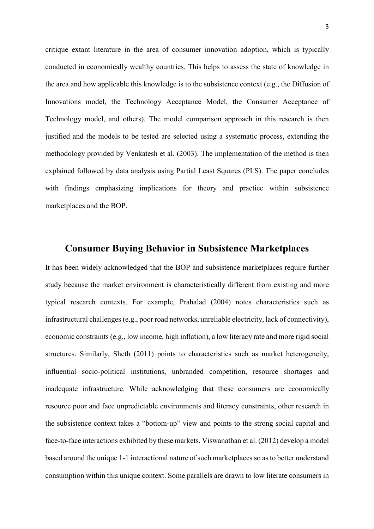critique extant literature in the area of consumer innovation adoption, which is typically conducted in economically wealthy countries. This helps to assess the state of knowledge in the area and how applicable this knowledge is to the subsistence context (e.g., the Diffusion of Innovations model, the Technology Acceptance Model, the Consumer Acceptance of Technology model, and others). The model comparison approach in this research is then justified and the models to be tested are selected using a systematic process, extending the methodology provided by Venkatesh et al. (2003). The implementation of the method is then explained followed by data analysis using Partial Least Squares (PLS). The paper concludes with findings emphasizing implications for theory and practice within subsistence marketplaces and the BOP.

#### **Consumer Buying Behavior in Subsistence Marketplaces**

It has been widely acknowledged that the BOP and subsistence marketplaces require further study because the market environment is characteristically different from existing and more typical research contexts. For example, Prahalad (2004) notes characteristics such as infrastructural challenges (e.g., poor road networks, unreliable electricity, lack of connectivity), economic constraints (e.g., low income, high inflation), a low literacy rate and more rigid social structures. Similarly, Sheth (2011) points to characteristics such as market heterogeneity, influential socio-political institutions, unbranded competition, resource shortages and inadequate infrastructure. While acknowledging that these consumers are economically resource poor and face unpredictable environments and literacy constraints, other research in the subsistence context takes a "bottom-up" view and points to the strong social capital and face-to-face interactions exhibited by these markets. Viswanathan et al. (2012) develop a model based around the unique 1-1 interactional nature of such marketplaces so as to better understand consumption within this unique context. Some parallels are drawn to low literate consumers in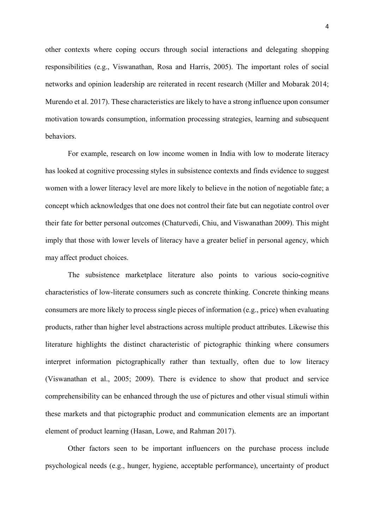other contexts where coping occurs through social interactions and delegating shopping responsibilities (e.g., Viswanathan, Rosa and Harris, 2005). The important roles of social networks and opinion leadership are reiterated in recent research (Miller and Mobarak 2014; Murendo et al. 2017). These characteristics are likely to have a strong influence upon consumer motivation towards consumption, information processing strategies, learning and subsequent behaviors.

 For example, research on low income women in India with low to moderate literacy has looked at cognitive processing styles in subsistence contexts and finds evidence to suggest women with a lower literacy level are more likely to believe in the notion of negotiable fate; a concept which acknowledges that one does not control their fate but can negotiate control over their fate for better personal outcomes (Chaturvedi, Chiu, and Viswanathan 2009). This might imply that those with lower levels of literacy have a greater belief in personal agency, which may affect product choices.

 The subsistence marketplace literature also points to various socio-cognitive characteristics of low-literate consumers such as concrete thinking. Concrete thinking means consumers are more likely to process single pieces of information (e.g., price) when evaluating products, rather than higher level abstractions across multiple product attributes. Likewise this literature highlights the distinct characteristic of pictographic thinking where consumers interpret information pictographically rather than textually, often due to low literacy (Viswanathan et al., 2005; 2009). There is evidence to show that product and service comprehensibility can be enhanced through the use of pictures and other visual stimuli within these markets and that pictographic product and communication elements are an important element of product learning (Hasan, Lowe, and Rahman 2017).

 Other factors seen to be important influencers on the purchase process include psychological needs (e.g., hunger, hygiene, acceptable performance), uncertainty of product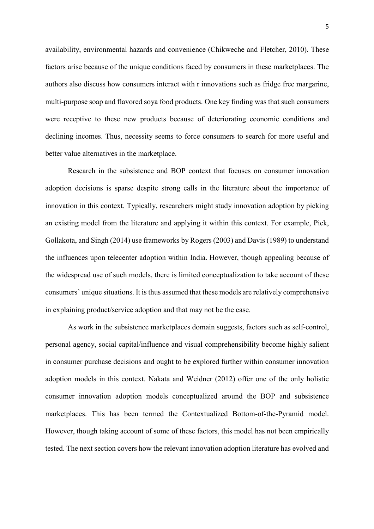availability, environmental hazards and convenience (Chikweche and Fletcher, 2010). These factors arise because of the unique conditions faced by consumers in these marketplaces. The authors also discuss how consumers interact with r innovations such as fridge free margarine, multi-purpose soap and flavored soya food products. One key finding was that such consumers were receptive to these new products because of deteriorating economic conditions and declining incomes. Thus, necessity seems to force consumers to search for more useful and better value alternatives in the marketplace.

 Research in the subsistence and BOP context that focuses on consumer innovation adoption decisions is sparse despite strong calls in the literature about the importance of innovation in this context. Typically, researchers might study innovation adoption by picking an existing model from the literature and applying it within this context. For example, Pick, Gollakota, and Singh (2014) use frameworks by Rogers (2003) and Davis (1989) to understand the influences upon telecenter adoption within India. However, though appealing because of the widespread use of such models, there is limited conceptualization to take account of these consumers' unique situations. It is thus assumed that these models are relatively comprehensive in explaining product/service adoption and that may not be the case.

As work in the subsistence marketplaces domain suggests, factors such as self-control, personal agency, social capital/influence and visual comprehensibility become highly salient in consumer purchase decisions and ought to be explored further within consumer innovation adoption models in this context. Nakata and Weidner (2012) offer one of the only holistic consumer innovation adoption models conceptualized around the BOP and subsistence marketplaces. This has been termed the Contextualized Bottom-of-the-Pyramid model. However, though taking account of some of these factors, this model has not been empirically tested. The next section covers how the relevant innovation adoption literature has evolved and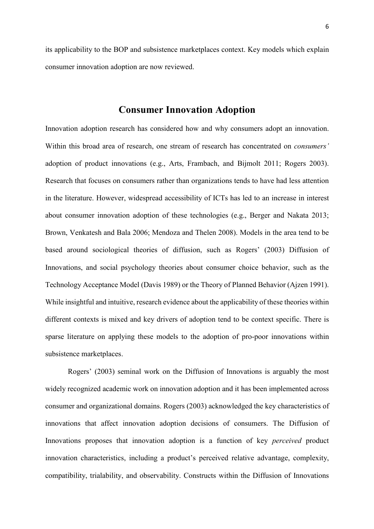its applicability to the BOP and subsistence marketplaces context. Key models which explain consumer innovation adoption are now reviewed.

#### **Consumer Innovation Adoption**

Innovation adoption research has considered how and why consumers adopt an innovation. Within this broad area of research, one stream of research has concentrated on *consumers'* adoption of product innovations (e.g., Arts, Frambach, and Bijmolt 2011; Rogers 2003). Research that focuses on consumers rather than organizations tends to have had less attention in the literature. However, widespread accessibility of ICTs has led to an increase in interest about consumer innovation adoption of these technologies (e.g., Berger and Nakata 2013; Brown, Venkatesh and Bala 2006; Mendoza and Thelen 2008). Models in the area tend to be based around sociological theories of diffusion, such as Rogers' (2003) Diffusion of Innovations, and social psychology theories about consumer choice behavior, such as the Technology Acceptance Model (Davis 1989) or the Theory of Planned Behavior (Ajzen 1991). While insightful and intuitive, research evidence about the applicability of these theories within different contexts is mixed and key drivers of adoption tend to be context specific. There is sparse literature on applying these models to the adoption of pro-poor innovations within subsistence marketplaces.

Rogers' (2003) seminal work on the Diffusion of Innovations is arguably the most widely recognized academic work on innovation adoption and it has been implemented across consumer and organizational domains. Rogers (2003) acknowledged the key characteristics of innovations that affect innovation adoption decisions of consumers. The Diffusion of Innovations proposes that innovation adoption is a function of key *perceived* product innovation characteristics, including a product's perceived relative advantage, complexity, compatibility, trialability, and observability. Constructs within the Diffusion of Innovations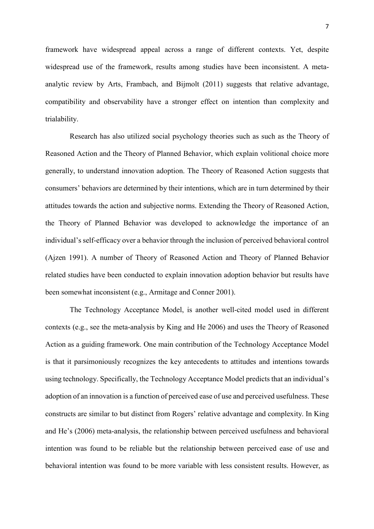framework have widespread appeal across a range of different contexts. Yet, despite widespread use of the framework, results among studies have been inconsistent. A metaanalytic review by Arts, Frambach, and Bijmolt (2011) suggests that relative advantage, compatibility and observability have a stronger effect on intention than complexity and trialability.

 Research has also utilized social psychology theories such as such as the Theory of Reasoned Action and the Theory of Planned Behavior, which explain volitional choice more generally, to understand innovation adoption. The Theory of Reasoned Action suggests that consumers' behaviors are determined by their intentions, which are in turn determined by their attitudes towards the action and subjective norms. Extending the Theory of Reasoned Action, the Theory of Planned Behavior was developed to acknowledge the importance of an individual's self-efficacy over a behavior through the inclusion of perceived behavioral control (Ajzen 1991). A number of Theory of Reasoned Action and Theory of Planned Behavior related studies have been conducted to explain innovation adoption behavior but results have been somewhat inconsistent (e.g., Armitage and Conner 2001).

 The Technology Acceptance Model, is another well-cited model used in different contexts (e.g., see the meta-analysis by King and He 2006) and uses the Theory of Reasoned Action as a guiding framework. One main contribution of the Technology Acceptance Model is that it parsimoniously recognizes the key antecedents to attitudes and intentions towards using technology. Specifically, the Technology Acceptance Model predicts that an individual's adoption of an innovation is a function of perceived ease of use and perceived usefulness. These constructs are similar to but distinct from Rogers' relative advantage and complexity. In King and He's (2006) meta-analysis, the relationship between perceived usefulness and behavioral intention was found to be reliable but the relationship between perceived ease of use and behavioral intention was found to be more variable with less consistent results. However, as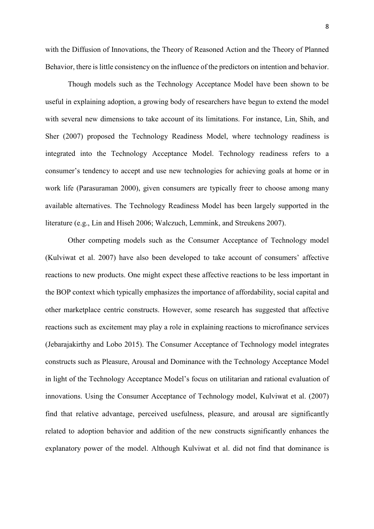with the Diffusion of Innovations, the Theory of Reasoned Action and the Theory of Planned Behavior, there is little consistency on the influence of the predictors on intention and behavior.

Though models such as the Technology Acceptance Model have been shown to be useful in explaining adoption, a growing body of researchers have begun to extend the model with several new dimensions to take account of its limitations. For instance, Lin, Shih, and Sher (2007) proposed the Technology Readiness Model, where technology readiness is integrated into the Technology Acceptance Model. Technology readiness refers to a consumer's tendency to accept and use new technologies for achieving goals at home or in work life (Parasuraman 2000), given consumers are typically freer to choose among many available alternatives. The Technology Readiness Model has been largely supported in the literature (e.g., Lin and Hiseh 2006; Walczuch, Lemmink, and Streukens 2007).

Other competing models such as the Consumer Acceptance of Technology model (Kulviwat et al. 2007) have also been developed to take account of consumers' affective reactions to new products. One might expect these affective reactions to be less important in the BOP context which typically emphasizes the importance of affordability, social capital and other marketplace centric constructs. However, some research has suggested that affective reactions such as excitement may play a role in explaining reactions to microfinance services (Jebarajakirthy and Lobo 2015). The Consumer Acceptance of Technology model integrates constructs such as Pleasure, Arousal and Dominance with the Technology Acceptance Model in light of the Technology Acceptance Model's focus on utilitarian and rational evaluation of innovations. Using the Consumer Acceptance of Technology model, Kulviwat et al. (2007) find that relative advantage, perceived usefulness, pleasure, and arousal are significantly related to adoption behavior and addition of the new constructs significantly enhances the explanatory power of the model. Although Kulviwat et al. did not find that dominance is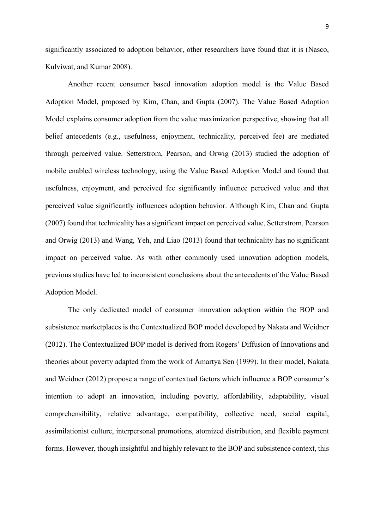significantly associated to adoption behavior, other researchers have found that it is (Nasco, Kulviwat, and Kumar 2008).

Another recent consumer based innovation adoption model is the Value Based Adoption Model, proposed by Kim, Chan, and Gupta (2007). The Value Based Adoption Model explains consumer adoption from the value maximization perspective, showing that all belief antecedents (e.g., usefulness, enjoyment, technicality, perceived fee) are mediated through perceived value. Setterstrom, Pearson, and Orwig (2013) studied the adoption of mobile enabled wireless technology, using the Value Based Adoption Model and found that usefulness, enjoyment, and perceived fee significantly influence perceived value and that perceived value significantly influences adoption behavior. Although Kim, Chan and Gupta (2007) found that technicality has a significant impact on perceived value, Setterstrom, Pearson and Orwig (2013) and Wang, Yeh, and Liao (2013) found that technicality has no significant impact on perceived value. As with other commonly used innovation adoption models, previous studies have led to inconsistent conclusions about the antecedents of the Value Based Adoption Model.

The only dedicated model of consumer innovation adoption within the BOP and subsistence marketplaces is the Contextualized BOP model developed by Nakata and Weidner (2012). The Contextualized BOP model is derived from Rogers' Diffusion of Innovations and theories about poverty adapted from the work of Amartya Sen (1999). In their model, Nakata and Weidner (2012) propose a range of contextual factors which influence a BOP consumer's intention to adopt an innovation, including poverty, affordability, adaptability, visual comprehensibility, relative advantage, compatibility, collective need, social capital, assimilationist culture, interpersonal promotions, atomized distribution, and flexible payment forms. However, though insightful and highly relevant to the BOP and subsistence context, this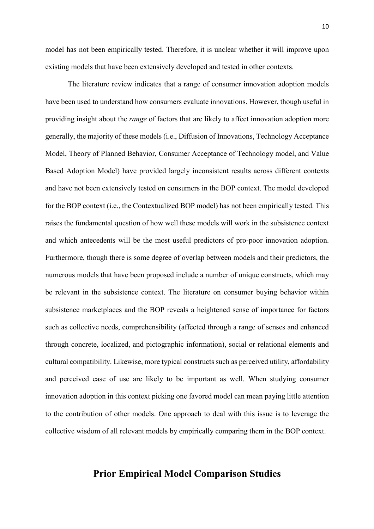model has not been empirically tested. Therefore, it is unclear whether it will improve upon existing models that have been extensively developed and tested in other contexts.

The literature review indicates that a range of consumer innovation adoption models have been used to understand how consumers evaluate innovations. However, though useful in providing insight about the *range* of factors that are likely to affect innovation adoption more generally, the majority of these models (i.e., Diffusion of Innovations, Technology Acceptance Model, Theory of Planned Behavior, Consumer Acceptance of Technology model, and Value Based Adoption Model) have provided largely inconsistent results across different contexts and have not been extensively tested on consumers in the BOP context. The model developed for the BOP context (i.e., the Contextualized BOP model) has not been empirically tested. This raises the fundamental question of how well these models will work in the subsistence context and which antecedents will be the most useful predictors of pro-poor innovation adoption. Furthermore, though there is some degree of overlap between models and their predictors, the numerous models that have been proposed include a number of unique constructs, which may be relevant in the subsistence context. The literature on consumer buying behavior within subsistence marketplaces and the BOP reveals a heightened sense of importance for factors such as collective needs, comprehensibility (affected through a range of senses and enhanced through concrete, localized, and pictographic information), social or relational elements and cultural compatibility. Likewise, more typical constructs such as perceived utility, affordability and perceived ease of use are likely to be important as well. When studying consumer innovation adoption in this context picking one favored model can mean paying little attention to the contribution of other models. One approach to deal with this issue is to leverage the collective wisdom of all relevant models by empirically comparing them in the BOP context.

#### **Prior Empirical Model Comparison Studies**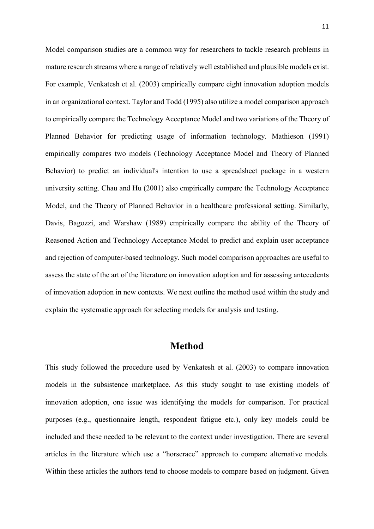Model comparison studies are a common way for researchers to tackle research problems in mature research streams where a range of relatively well established and plausible models exist. For example, Venkatesh et al. (2003) empirically compare eight innovation adoption models in an organizational context. Taylor and Todd (1995) also utilize a model comparison approach to empirically compare the Technology Acceptance Model and two variations of the Theory of Planned Behavior for predicting usage of information technology. Mathieson (1991) empirically compares two models (Technology Acceptance Model and Theory of Planned Behavior) to predict an individual's intention to use a spreadsheet package in a western university setting. Chau and Hu (2001) also empirically compare the Technology Acceptance Model, and the Theory of Planned Behavior in a healthcare professional setting. Similarly, Davis, Bagozzi, and Warshaw (1989) empirically compare the ability of the Theory of Reasoned Action and Technology Acceptance Model to predict and explain user acceptance and rejection of computer-based technology. Such model comparison approaches are useful to assess the state of the art of the literature on innovation adoption and for assessing antecedents of innovation adoption in new contexts. We next outline the method used within the study and explain the systematic approach for selecting models for analysis and testing.

#### **Method**

This study followed the procedure used by Venkatesh et al. (2003) to compare innovation models in the subsistence marketplace. As this study sought to use existing models of innovation adoption, one issue was identifying the models for comparison. For practical purposes (e.g., questionnaire length, respondent fatigue etc.), only key models could be included and these needed to be relevant to the context under investigation. There are several articles in the literature which use a "horserace" approach to compare alternative models. Within these articles the authors tend to choose models to compare based on judgment. Given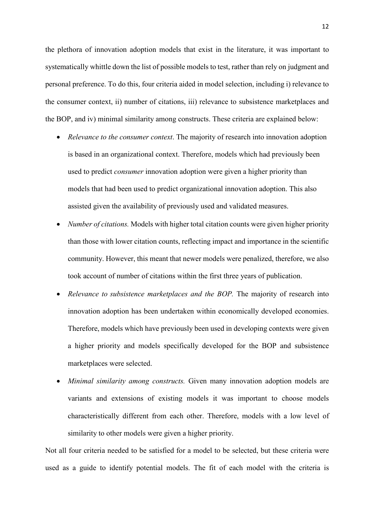the plethora of innovation adoption models that exist in the literature, it was important to systematically whittle down the list of possible models to test, rather than rely on judgment and personal preference. To do this, four criteria aided in model selection, including i) relevance to the consumer context, ii) number of citations, iii) relevance to subsistence marketplaces and the BOP, and iv) minimal similarity among constructs. These criteria are explained below:

- *Relevance to the consumer context*. The majority of research into innovation adoption is based in an organizational context. Therefore, models which had previously been used to predict *consumer* innovation adoption were given a higher priority than models that had been used to predict organizational innovation adoption. This also assisted given the availability of previously used and validated measures.
- *Number of citations.* Models with higher total citation counts were given higher priority than those with lower citation counts, reflecting impact and importance in the scientific community. However, this meant that newer models were penalized, therefore, we also took account of number of citations within the first three years of publication.
- *Relevance to subsistence marketplaces and the BOP.* The majority of research into innovation adoption has been undertaken within economically developed economies. Therefore, models which have previously been used in developing contexts were given a higher priority and models specifically developed for the BOP and subsistence marketplaces were selected.
- *Minimal similarity among constructs.* Given many innovation adoption models are variants and extensions of existing models it was important to choose models characteristically different from each other. Therefore, models with a low level of similarity to other models were given a higher priority.

Not all four criteria needed to be satisfied for a model to be selected, but these criteria were used as a guide to identify potential models. The fit of each model with the criteria is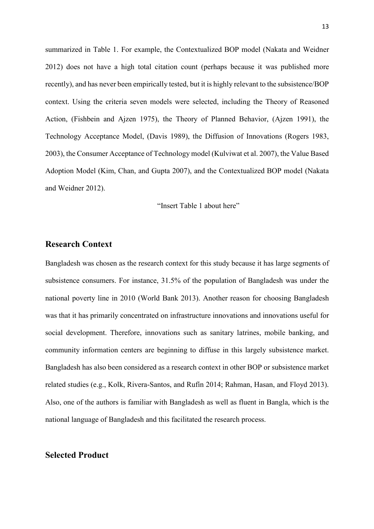summarized in Table 1. For example, the Contextualized BOP model (Nakata and Weidner 2012) does not have a high total citation count (perhaps because it was published more recently), and has never been empirically tested, but it is highly relevant to the subsistence/BOP context. Using the criteria seven models were selected, including the Theory of Reasoned Action, (Fishbein and Ajzen 1975), the Theory of Planned Behavior, (Ajzen 1991), the Technology Acceptance Model, (Davis 1989), the Diffusion of Innovations (Rogers 1983, 2003), the Consumer Acceptance of Technology model (Kulviwat et al. 2007), the Value Based Adoption Model (Kim, Chan, and Gupta 2007), and the Contextualized BOP model (Nakata and Weidner 2012).

"Insert Table 1 about here"

#### **Research Context**

Bangladesh was chosen as the research context for this study because it has large segments of subsistence consumers. For instance, 31.5% of the population of Bangladesh was under the national poverty line in 2010 (World Bank 2013). Another reason for choosing Bangladesh was that it has primarily concentrated on infrastructure innovations and innovations useful for social development. Therefore, innovations such as sanitary latrines, mobile banking, and community information centers are beginning to diffuse in this largely subsistence market. Bangladesh has also been considered as a research context in other BOP or subsistence market related studies (e.g., Kolk, Rivera-Santos, and Rufín 2014; Rahman, Hasan, and Floyd 2013). Also, one of the authors is familiar with Bangladesh as well as fluent in Bangla, which is the national language of Bangladesh and this facilitated the research process.

#### **Selected Product**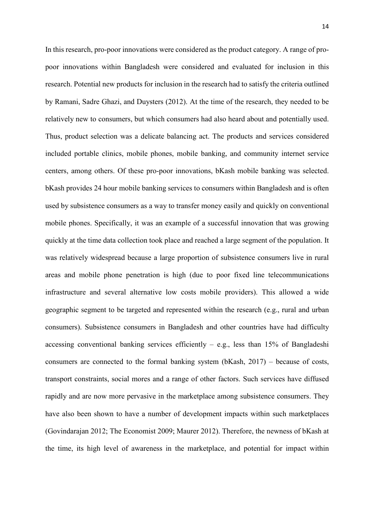In this research, pro-poor innovations were considered as the product category. A range of propoor innovations within Bangladesh were considered and evaluated for inclusion in this research. Potential new products for inclusion in the research had to satisfy the criteria outlined by Ramani, Sadre Ghazi, and Duysters (2012). At the time of the research, they needed to be relatively new to consumers, but which consumers had also heard about and potentially used. Thus, product selection was a delicate balancing act. The products and services considered included portable clinics, mobile phones, mobile banking, and community internet service centers, among others. Of these pro-poor innovations, bKash mobile banking was selected. bKash provides 24 hour mobile banking services to consumers within Bangladesh and is often used by subsistence consumers as a way to transfer money easily and quickly on conventional mobile phones. Specifically, it was an example of a successful innovation that was growing quickly at the time data collection took place and reached a large segment of the population. It was relatively widespread because a large proportion of subsistence consumers live in rural areas and mobile phone penetration is high (due to poor fixed line telecommunications infrastructure and several alternative low costs mobile providers). This allowed a wide geographic segment to be targeted and represented within the research (e.g., rural and urban consumers). Subsistence consumers in Bangladesh and other countries have had difficulty accessing conventional banking services efficiently  $-$  e.g., less than 15% of Bangladeshi consumers are connected to the formal banking system (bKash, 2017) – because of costs, transport constraints, social mores and a range of other factors. Such services have diffused rapidly and are now more pervasive in the marketplace among subsistence consumers. They have also been shown to have a number of development impacts within such marketplaces (Govindarajan 2012; The Economist 2009; Maurer 2012). Therefore, the newness of bKash at the time, its high level of awareness in the marketplace, and potential for impact within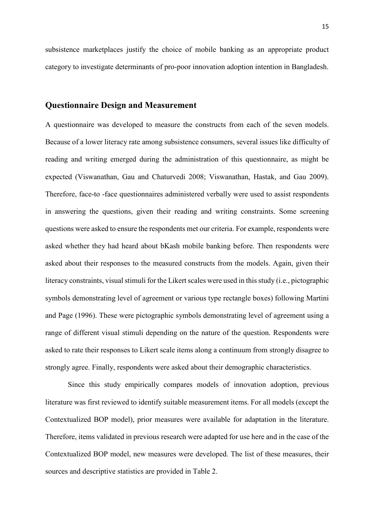subsistence marketplaces justify the choice of mobile banking as an appropriate product category to investigate determinants of pro-poor innovation adoption intention in Bangladesh.

#### **Questionnaire Design and Measurement**

A questionnaire was developed to measure the constructs from each of the seven models. Because of a lower literacy rate among subsistence consumers, several issues like difficulty of reading and writing emerged during the administration of this questionnaire, as might be expected (Viswanathan, Gau and Chaturvedi 2008; Viswanathan, Hastak, and Gau 2009). Therefore, face-to -face questionnaires administered verbally were used to assist respondents in answering the questions, given their reading and writing constraints. Some screening questions were asked to ensure the respondents met our criteria. For example, respondents were asked whether they had heard about bKash mobile banking before. Then respondents were asked about their responses to the measured constructs from the models. Again, given their literacy constraints, visual stimuli for the Likert scales were used in this study (i.e., pictographic symbols demonstrating level of agreement or various type rectangle boxes) following Martini and Page (1996). These were pictographic symbols demonstrating level of agreement using a range of different visual stimuli depending on the nature of the question. Respondents were asked to rate their responses to Likert scale items along a continuum from strongly disagree to strongly agree. Finally, respondents were asked about their demographic characteristics.

Since this study empirically compares models of innovation adoption, previous literature was first reviewed to identify suitable measurement items. For all models (except the Contextualized BOP model), prior measures were available for adaptation in the literature. Therefore, items validated in previous research were adapted for use here and in the case of the Contextualized BOP model, new measures were developed. The list of these measures, their sources and descriptive statistics are provided in Table 2.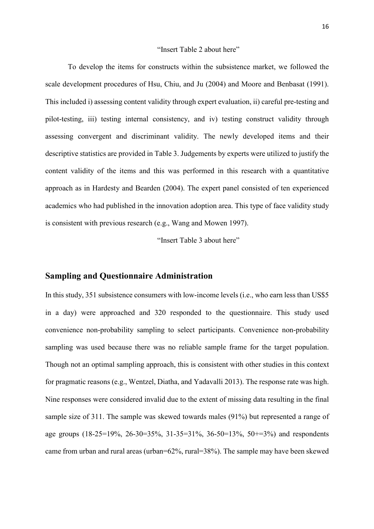#### "Insert Table 2 about here"

To develop the items for constructs within the subsistence market, we followed the scale development procedures of Hsu, Chiu, and Ju (2004) and Moore and Benbasat (1991). This included i) assessing content validity through expert evaluation, ii) careful pre-testing and pilot-testing, iii) testing internal consistency, and iv) testing construct validity through assessing convergent and discriminant validity. The newly developed items and their descriptive statistics are provided in Table 3. Judgements by experts were utilized to justify the content validity of the items and this was performed in this research with a quantitative approach as in Hardesty and Bearden (2004). The expert panel consisted of ten experienced academics who had published in the innovation adoption area. This type of face validity study is consistent with previous research (e.g., Wang and Mowen 1997).

"Insert Table 3 about here"

#### **Sampling and Questionnaire Administration**

In this study, 351 subsistence consumers with low-income levels (i.e., who earn less than US\$5 in a day) were approached and 320 responded to the questionnaire. This study used convenience non-probability sampling to select participants. Convenience non-probability sampling was used because there was no reliable sample frame for the target population. Though not an optimal sampling approach, this is consistent with other studies in this context for pragmatic reasons (e.g., Wentzel, Diatha, and Yadavalli 2013). The response rate was high. Nine responses were considered invalid due to the extent of missing data resulting in the final sample size of 311. The sample was skewed towards males (91%) but represented a range of age groups (18-25=19%, 26-30=35%, 31-35=31%, 36-50=13%, 50+=3%) and respondents came from urban and rural areas (urban=62%, rural=38%). The sample may have been skewed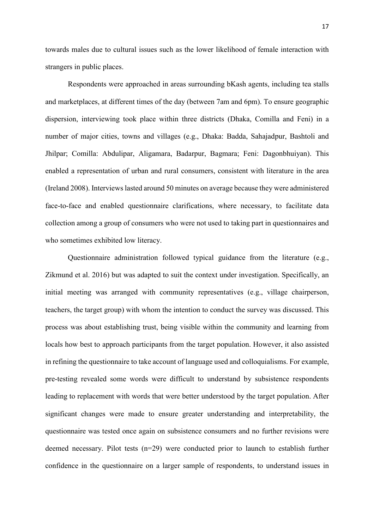towards males due to cultural issues such as the lower likelihood of female interaction with strangers in public places.

Respondents were approached in areas surrounding bKash agents, including tea stalls and marketplaces, at different times of the day (between 7am and 6pm). To ensure geographic dispersion, interviewing took place within three districts (Dhaka, Comilla and Feni) in a number of major cities, towns and villages (e.g., Dhaka: Badda, Sahajadpur, Bashtoli and Jhilpar; Comilla: Abdulipar, Aligamara, Badarpur, Bagmara; Feni: Dagonbhuiyan). This enabled a representation of urban and rural consumers, consistent with literature in the area (Ireland 2008). Interviews lasted around 50 minutes on average because they were administered face-to-face and enabled questionnaire clarifications, where necessary, to facilitate data collection among a group of consumers who were not used to taking part in questionnaires and who sometimes exhibited low literacy.

Questionnaire administration followed typical guidance from the literature (e.g., Zikmund et al. 2016) but was adapted to suit the context under investigation. Specifically, an initial meeting was arranged with community representatives (e.g., village chairperson, teachers, the target group) with whom the intention to conduct the survey was discussed. This process was about establishing trust, being visible within the community and learning from locals how best to approach participants from the target population. However, it also assisted in refining the questionnaire to take account of language used and colloquialisms. For example, pre-testing revealed some words were difficult to understand by subsistence respondents leading to replacement with words that were better understood by the target population. After significant changes were made to ensure greater understanding and interpretability, the questionnaire was tested once again on subsistence consumers and no further revisions were deemed necessary. Pilot tests (n=29) were conducted prior to launch to establish further confidence in the questionnaire on a larger sample of respondents, to understand issues in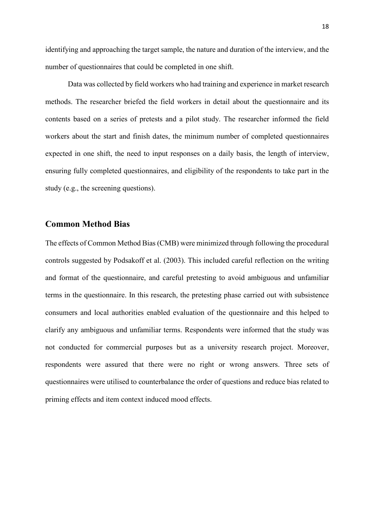identifying and approaching the target sample, the nature and duration of the interview, and the number of questionnaires that could be completed in one shift.

Data was collected by field workers who had training and experience in market research methods. The researcher briefed the field workers in detail about the questionnaire and its contents based on a series of pretests and a pilot study. The researcher informed the field workers about the start and finish dates, the minimum number of completed questionnaires expected in one shift, the need to input responses on a daily basis, the length of interview, ensuring fully completed questionnaires, and eligibility of the respondents to take part in the study (e.g., the screening questions).

#### **Common Method Bias**

The effects of Common Method Bias (CMB) were minimized through following the procedural controls suggested by Podsakoff et al. (2003). This included careful reflection on the writing and format of the questionnaire, and careful pretesting to avoid ambiguous and unfamiliar terms in the questionnaire. In this research, the pretesting phase carried out with subsistence consumers and local authorities enabled evaluation of the questionnaire and this helped to clarify any ambiguous and unfamiliar terms. Respondents were informed that the study was not conducted for commercial purposes but as a university research project. Moreover, respondents were assured that there were no right or wrong answers. Three sets of questionnaires were utilised to counterbalance the order of questions and reduce bias related to priming effects and item context induced mood effects.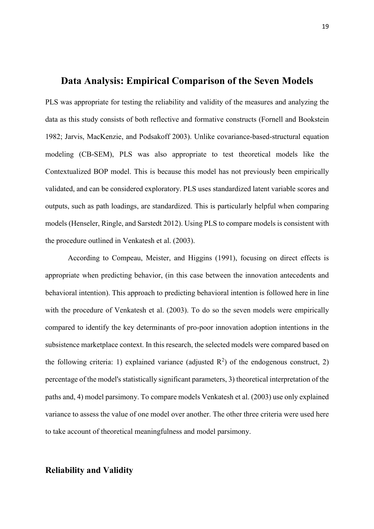#### **Data Analysis: Empirical Comparison of the Seven Models**

PLS was appropriate for testing the reliability and validity of the measures and analyzing the data as this study consists of both reflective and formative constructs (Fornell and Bookstein 1982; Jarvis, MacKenzie, and Podsakoff 2003). Unlike covariance-based-structural equation modeling (CB-SEM), PLS was also appropriate to test theoretical models like the Contextualized BOP model. This is because this model has not previously been empirically validated, and can be considered exploratory. PLS uses standardized latent variable scores and outputs, such as path loadings, are standardized. This is particularly helpful when comparing models (Henseler, Ringle, and Sarstedt 2012). Using PLS to compare models is consistent with the procedure outlined in Venkatesh et al. (2003).

According to Compeau, Meister, and Higgins (1991), focusing on direct effects is appropriate when predicting behavior, (in this case between the innovation antecedents and behavioral intention). This approach to predicting behavioral intention is followed here in line with the procedure of Venkatesh et al. (2003). To do so the seven models were empirically compared to identify the key determinants of pro-poor innovation adoption intentions in the subsistence marketplace context. In this research, the selected models were compared based on the following criteria: 1) explained variance (adjusted  $\mathbb{R}^2$ ) of the endogenous construct, 2) percentage of the model's statistically significant parameters, 3) theoretical interpretation of the paths and, 4) model parsimony. To compare models Venkatesh et al. (2003) use only explained variance to assess the value of one model over another. The other three criteria were used here to take account of theoretical meaningfulness and model parsimony.

#### **Reliability and Validity**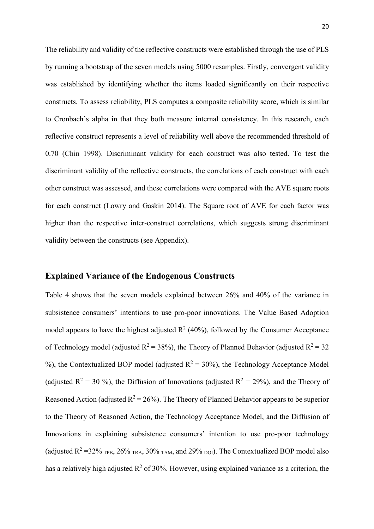The reliability and validity of the reflective constructs were established through the use of PLS by running a bootstrap of the seven models using 5000 resamples. Firstly, convergent validity was established by identifying whether the items loaded significantly on their respective constructs. To assess reliability, PLS computes a composite reliability score, which is similar to Cronbach's alpha in that they both measure internal consistency. In this research, each reflective construct represents a level of reliability well above the recommended threshold of 0.70 (Chin 1998). Discriminant validity for each construct was also tested. To test the discriminant validity of the reflective constructs, the correlations of each construct with each other construct was assessed, and these correlations were compared with the AVE square roots for each construct (Lowry and Gaskin 2014). The Square root of AVE for each factor was higher than the respective inter-construct correlations, which suggests strong discriminant validity between the constructs (see Appendix).

#### **Explained Variance of the Endogenous Constructs**

Table 4 shows that the seven models explained between 26% and 40% of the variance in subsistence consumers' intentions to use pro-poor innovations. The Value Based Adoption model appears to have the highest adjusted  $R^2$  (40%), followed by the Consumer Acceptance of Technology model (adjusted  $R^2 = 38\%$ ), the Theory of Planned Behavior (adjusted  $R^2 = 32$ %), the Contextualized BOP model (adjusted  $R^2 = 30\%$ ), the Technology Acceptance Model (adjusted  $R^2 = 30 \text{ %}$ ), the Diffusion of Innovations (adjusted  $R^2 = 29\text{%}$ ), and the Theory of Reasoned Action (adjusted  $R^2 = 26\%$ ). The Theory of Planned Behavior appears to be superior to the Theory of Reasoned Action, the Technology Acceptance Model, and the Diffusion of Innovations in explaining subsistence consumers' intention to use pro-poor technology (adjusted  $R^2$  =32% <sub>TPB</sub>, 26% <sub>TRA</sub>, 30% <sub>TAM</sub>, and 29% <sub>DOI</sub>). The Contextualized BOP model also has a relatively high adjusted  $R^2$  of 30%. However, using explained variance as a criterion, the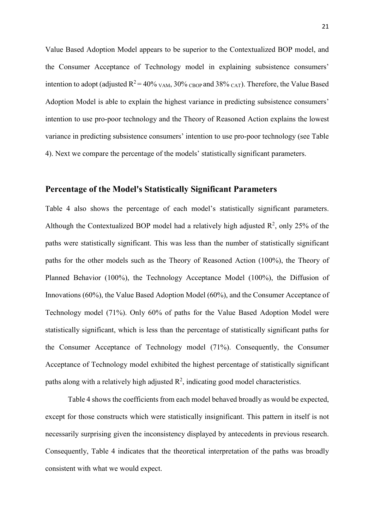Value Based Adoption Model appears to be superior to the Contextualized BOP model, and the Consumer Acceptance of Technology model in explaining subsistence consumers' intention to adopt (adjusted  $R^2 = 40\%$  <sub>VAM</sub>,  $30\%$  <sub>CBOP</sub> and  $38\%$  <sub>CAT</sub>). Therefore, the Value Based Adoption Model is able to explain the highest variance in predicting subsistence consumers' intention to use pro-poor technology and the Theory of Reasoned Action explains the lowest variance in predicting subsistence consumers' intention to use pro-poor technology (see Table 4). Next we compare the percentage of the models' statistically significant parameters.

#### **Percentage of the Model's Statistically Significant Parameters**

Table 4 also shows the percentage of each model's statistically significant parameters. Although the Contextualized BOP model had a relatively high adjusted  $\mathbb{R}^2$ , only 25% of the paths were statistically significant. This was less than the number of statistically significant paths for the other models such as the Theory of Reasoned Action (100%), the Theory of Planned Behavior (100%), the Technology Acceptance Model (100%), the Diffusion of Innovations (60%), the Value Based Adoption Model (60%), and the Consumer Acceptance of Technology model (71%). Only 60% of paths for the Value Based Adoption Model were statistically significant, which is less than the percentage of statistically significant paths for the Consumer Acceptance of Technology model (71%). Consequently, the Consumer Acceptance of Technology model exhibited the highest percentage of statistically significant paths along with a relatively high adjusted  $\mathbb{R}^2$ , indicating good model characteristics.

Table 4 shows the coefficients from each model behaved broadly as would be expected, except for those constructs which were statistically insignificant. This pattern in itself is not necessarily surprising given the inconsistency displayed by antecedents in previous research. Consequently, Table 4 indicates that the theoretical interpretation of the paths was broadly consistent with what we would expect.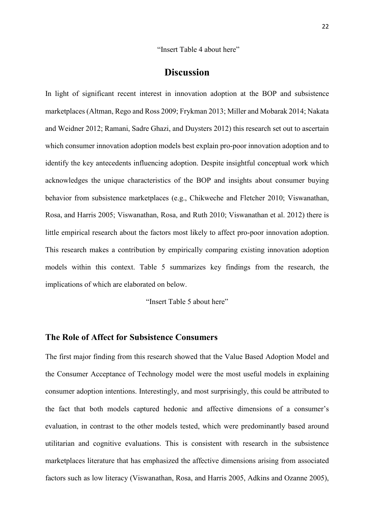"Insert Table 4 about here"

#### **Discussion**

In light of significant recent interest in innovation adoption at the BOP and subsistence marketplaces (Altman, Rego and Ross 2009; Frykman 2013; Miller and Mobarak 2014; Nakata and Weidner 2012; Ramani, Sadre Ghazi, and Duysters 2012) this research set out to ascertain which consumer innovation adoption models best explain pro-poor innovation adoption and to identify the key antecedents influencing adoption. Despite insightful conceptual work which acknowledges the unique characteristics of the BOP and insights about consumer buying behavior from subsistence marketplaces (e.g., Chikweche and Fletcher 2010; Viswanathan, Rosa, and Harris 2005; Viswanathan, Rosa, and Ruth 2010; Viswanathan et al. 2012) there is little empirical research about the factors most likely to affect pro-poor innovation adoption. This research makes a contribution by empirically comparing existing innovation adoption models within this context. Table 5 summarizes key findings from the research, the implications of which are elaborated on below.

"Insert Table 5 about here"

#### **The Role of Affect for Subsistence Consumers**

The first major finding from this research showed that the Value Based Adoption Model and the Consumer Acceptance of Technology model were the most useful models in explaining consumer adoption intentions. Interestingly, and most surprisingly, this could be attributed to the fact that both models captured hedonic and affective dimensions of a consumer's evaluation, in contrast to the other models tested, which were predominantly based around utilitarian and cognitive evaluations. This is consistent with research in the subsistence marketplaces literature that has emphasized the affective dimensions arising from associated factors such as low literacy (Viswanathan, Rosa, and Harris 2005, Adkins and Ozanne 2005),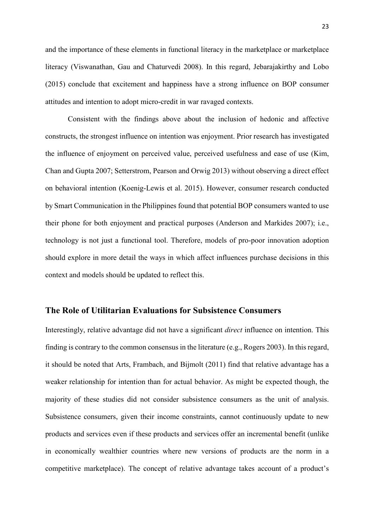and the importance of these elements in functional literacy in the marketplace or marketplace literacy (Viswanathan, Gau and Chaturvedi 2008). In this regard, Jebarajakirthy and Lobo (2015) conclude that excitement and happiness have a strong influence on BOP consumer attitudes and intention to adopt micro-credit in war ravaged contexts.

Consistent with the findings above about the inclusion of hedonic and affective constructs, the strongest influence on intention was enjoyment. Prior research has investigated the influence of enjoyment on perceived value, perceived usefulness and ease of use (Kim, Chan and Gupta 2007; Setterstrom, Pearson and Orwig 2013) without observing a direct effect on behavioral intention (Koenig-Lewis et al. 2015). However, consumer research conducted by Smart Communication in the Philippines found that potential BOP consumers wanted to use their phone for both enjoyment and practical purposes (Anderson and Markides 2007); i.e., technology is not just a functional tool. Therefore, models of pro-poor innovation adoption should explore in more detail the ways in which affect influences purchase decisions in this context and models should be updated to reflect this.

#### **The Role of Utilitarian Evaluations for Subsistence Consumers**

Interestingly, relative advantage did not have a significant *direct* influence on intention. This finding is contrary to the common consensus in the literature (e.g., Rogers 2003). In this regard, it should be noted that Arts, Frambach, and Bijmolt (2011) find that relative advantage has a weaker relationship for intention than for actual behavior. As might be expected though, the majority of these studies did not consider subsistence consumers as the unit of analysis. Subsistence consumers, given their income constraints, cannot continuously update to new products and services even if these products and services offer an incremental benefit (unlike in economically wealthier countries where new versions of products are the norm in a competitive marketplace). The concept of relative advantage takes account of a product's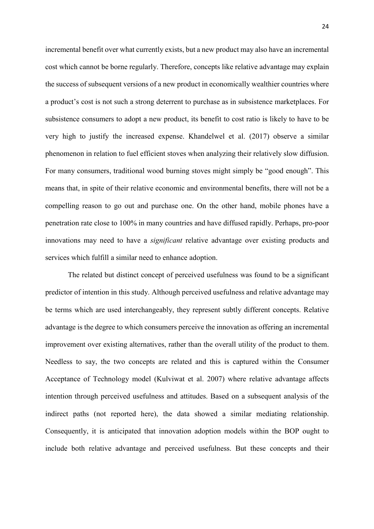incremental benefit over what currently exists, but a new product may also have an incremental cost which cannot be borne regularly. Therefore, concepts like relative advantage may explain the success of subsequent versions of a new product in economically wealthier countries where a product's cost is not such a strong deterrent to purchase as in subsistence marketplaces. For subsistence consumers to adopt a new product, its benefit to cost ratio is likely to have to be very high to justify the increased expense. Khandelwel et al. (2017) observe a similar phenomenon in relation to fuel efficient stoves when analyzing their relatively slow diffusion. For many consumers, traditional wood burning stoves might simply be "good enough". This means that, in spite of their relative economic and environmental benefits, there will not be a compelling reason to go out and purchase one. On the other hand, mobile phones have a penetration rate close to 100% in many countries and have diffused rapidly. Perhaps, pro-poor innovations may need to have a *significant* relative advantage over existing products and services which fulfill a similar need to enhance adoption.

The related but distinct concept of perceived usefulness was found to be a significant predictor of intention in this study. Although perceived usefulness and relative advantage may be terms which are used interchangeably, they represent subtly different concepts. Relative advantage is the degree to which consumers perceive the innovation as offering an incremental improvement over existing alternatives, rather than the overall utility of the product to them. Needless to say, the two concepts are related and this is captured within the Consumer Acceptance of Technology model (Kulviwat et al. 2007) where relative advantage affects intention through perceived usefulness and attitudes. Based on a subsequent analysis of the indirect paths (not reported here), the data showed a similar mediating relationship. Consequently, it is anticipated that innovation adoption models within the BOP ought to include both relative advantage and perceived usefulness. But these concepts and their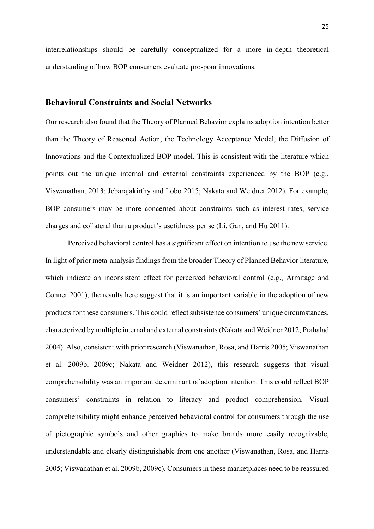interrelationships should be carefully conceptualized for a more in-depth theoretical understanding of how BOP consumers evaluate pro-poor innovations.

#### **Behavioral Constraints and Social Networks**

Our research also found that the Theory of Planned Behavior explains adoption intention better than the Theory of Reasoned Action, the Technology Acceptance Model, the Diffusion of Innovations and the Contextualized BOP model. This is consistent with the literature which points out the unique internal and external constraints experienced by the BOP (e.g., Viswanathan, 2013; Jebarajakirthy and Lobo 2015; Nakata and Weidner 2012). For example, BOP consumers may be more concerned about constraints such as interest rates, service charges and collateral than a product's usefulness per se (Li, Gan, and Hu 2011).

Perceived behavioral control has a significant effect on intention to use the new service. In light of prior meta-analysis findings from the broader Theory of Planned Behavior literature, which indicate an inconsistent effect for perceived behavioral control (e.g., Armitage and Conner 2001), the results here suggest that it is an important variable in the adoption of new products for these consumers. This could reflect subsistence consumers' unique circumstances, characterized by multiple internal and external constraints (Nakata and Weidner 2012; Prahalad 2004). Also, consistent with prior research (Viswanathan, Rosa, and Harris 2005; Viswanathan et al. 2009b, 2009c; Nakata and Weidner 2012), this research suggests that visual comprehensibility was an important determinant of adoption intention. This could reflect BOP consumers' constraints in relation to literacy and product comprehension. Visual comprehensibility might enhance perceived behavioral control for consumers through the use of pictographic symbols and other graphics to make brands more easily recognizable, understandable and clearly distinguishable from one another (Viswanathan, Rosa, and Harris 2005; Viswanathan et al. 2009b, 2009c). Consumers in these marketplaces need to be reassured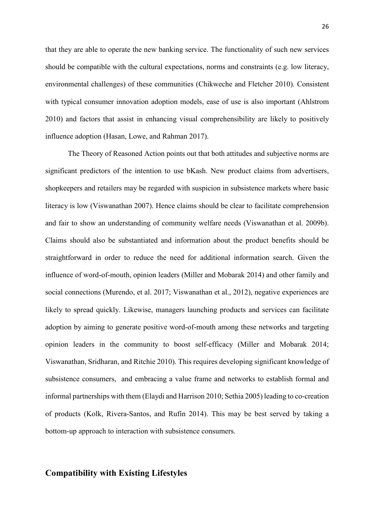that they are able to operate the new banking service. The functionality of such new services should be compatible with the cultural expectations, norms and constraints (e.g. low literacy, environmental challenges) of these communities (Chikweche and Fletcher 2010). Consistent with typical consumer innovation adoption models, ease of use is also important (Ahlstrom 2010) and factors that assist in enhancing visual comprehensibility are likely to positively influence adoption (Hasan, Lowe, and Rahman 2017).

The Theory of Reasoned Action points out that both attitudes and subjective norms are significant predictors of the intention to use bKash. New product claims from advertisers, shopkeepers and retailers may be regarded with suspicion in subsistence markets where basic literacy is low (Viswanathan 2007). Hence claims should be clear to facilitate comprehension and fair to show an understanding of community welfare needs (Viswanathan et al. 2009b). Claims should also be substantiated and information about the product benefits should be straightforward in order to reduce the need for additional information search. Given the influence of word-of-mouth, opinion leaders (Miller and Mobarak 2014) and other family and social connections (Murendo, et al. 2017; Viswanathan et al., 2012), negative experiences are likely to spread quickly. Likewise, managers launching products and services can facilitate adoption by aiming to generate positive word-of-mouth among these networks and targeting opinion leaders in the community to boost self-efficacy (Miller and Mobarak 2014; Viswanathan, Sridharan, and Ritchie 2010). This requires developing significant knowledge of subsistence consumers, and embracing a value frame and networks to establish formal and informal partnerships with them (Elaydi and Harrison 2010; Sethia 2005) leading to co-creation of products (Kolk, Rivera-Santos, and Rufín 2014). This may be best served by taking a bottom-up approach to interaction with subsistence consumers.

#### **Compatibility with Existing Lifestyles**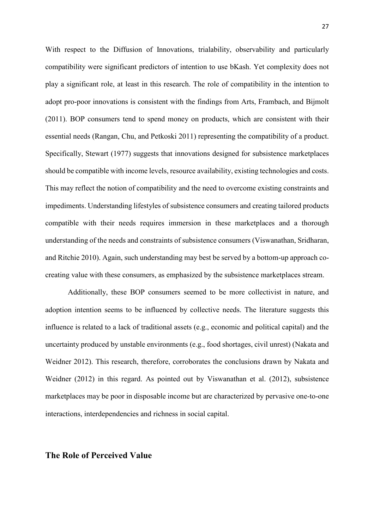With respect to the Diffusion of Innovations, trialability, observability and particularly compatibility were significant predictors of intention to use bKash. Yet complexity does not play a significant role, at least in this research. The role of compatibility in the intention to adopt pro-poor innovations is consistent with the findings from Arts, Frambach, and Bijmolt (2011). BOP consumers tend to spend money on products, which are consistent with their essential needs (Rangan, Chu, and Petkoski 2011) representing the compatibility of a product. Specifically, Stewart (1977) suggests that innovations designed for subsistence marketplaces should be compatible with income levels, resource availability, existing technologies and costs. This may reflect the notion of compatibility and the need to overcome existing constraints and impediments. Understanding lifestyles of subsistence consumers and creating tailored products compatible with their needs requires immersion in these marketplaces and a thorough understanding of the needs and constraints of subsistence consumers (Viswanathan, Sridharan, and Ritchie 2010). Again, such understanding may best be served by a bottom-up approach cocreating value with these consumers, as emphasized by the subsistence marketplaces stream.

Additionally, these BOP consumers seemed to be more collectivist in nature, and adoption intention seems to be influenced by collective needs. The literature suggests this influence is related to a lack of traditional assets (e.g., economic and political capital) and the uncertainty produced by unstable environments (e.g., food shortages, civil unrest) (Nakata and Weidner 2012). This research, therefore, corroborates the conclusions drawn by Nakata and Weidner (2012) in this regard. As pointed out by Viswanathan et al. (2012), subsistence marketplaces may be poor in disposable income but are characterized by pervasive one-to-one interactions, interdependencies and richness in social capital.

#### **The Role of Perceived Value**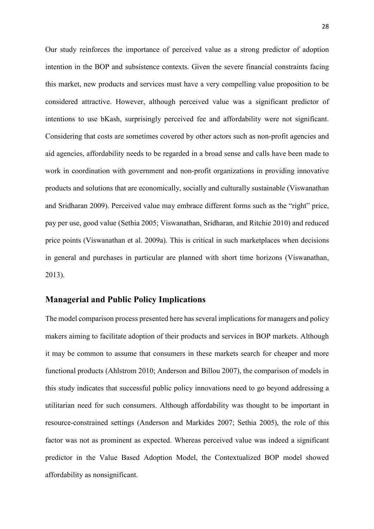Our study reinforces the importance of perceived value as a strong predictor of adoption intention in the BOP and subsistence contexts. Given the severe financial constraints facing this market, new products and services must have a very compelling value proposition to be considered attractive. However, although perceived value was a significant predictor of intentions to use bKash, surprisingly perceived fee and affordability were not significant. Considering that costs are sometimes covered by other actors such as non-profit agencies and aid agencies, affordability needs to be regarded in a broad sense and calls have been made to work in coordination with government and non-profit organizations in providing innovative products and solutions that are economically, socially and culturally sustainable (Viswanathan and Sridharan 2009). Perceived value may embrace different forms such as the "right" price, pay per use, good value (Sethia 2005; Viswanathan, Sridharan, and Ritchie 2010) and reduced price points (Viswanathan et al. 2009a). This is critical in such marketplaces when decisions in general and purchases in particular are planned with short time horizons (Viswanathan, 2013).

#### **Managerial and Public Policy Implications**

The model comparison process presented here has several implications for managers and policy makers aiming to facilitate adoption of their products and services in BOP markets. Although it may be common to assume that consumers in these markets search for cheaper and more functional products (Ahlstrom 2010; Anderson and Billou 2007), the comparison of models in this study indicates that successful public policy innovations need to go beyond addressing a utilitarian need for such consumers. Although affordability was thought to be important in resource-constrained settings (Anderson and Markides 2007; Sethia 2005), the role of this factor was not as prominent as expected. Whereas perceived value was indeed a significant predictor in the Value Based Adoption Model, the Contextualized BOP model showed affordability as nonsignificant.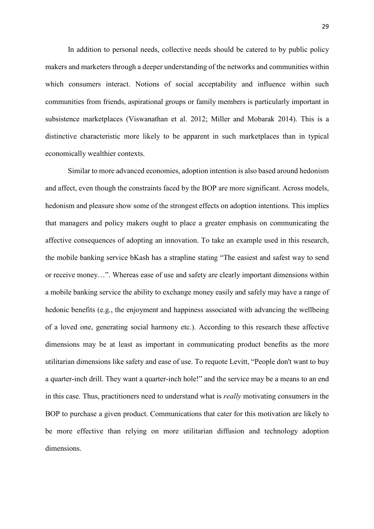In addition to personal needs, collective needs should be catered to by public policy makers and marketers through a deeper understanding of the networks and communities within which consumers interact. Notions of social acceptability and influence within such communities from friends, aspirational groups or family members is particularly important in subsistence marketplaces (Viswanathan et al. 2012; Miller and Mobarak 2014). This is a distinctive characteristic more likely to be apparent in such marketplaces than in typical economically wealthier contexts.

 Similar to more advanced economies, adoption intention is also based around hedonism and affect, even though the constraints faced by the BOP are more significant. Across models, hedonism and pleasure show some of the strongest effects on adoption intentions. This implies that managers and policy makers ought to place a greater emphasis on communicating the affective consequences of adopting an innovation. To take an example used in this research, the mobile banking service bKash has a strapline stating "The easiest and safest way to send or receive money…". Whereas ease of use and safety are clearly important dimensions within a mobile banking service the ability to exchange money easily and safely may have a range of hedonic benefits (e.g., the enjoyment and happiness associated with advancing the wellbeing of a loved one, generating social harmony etc.). According to this research these affective dimensions may be at least as important in communicating product benefits as the more utilitarian dimensions like safety and ease of use. To requote Levitt, "People don't want to buy a quarter-inch drill. They want a quarter-inch hole!" and the service may be a means to an end in this case. Thus, practitioners need to understand what is *really* motivating consumers in the BOP to purchase a given product. Communications that cater for this motivation are likely to be more effective than relying on more utilitarian diffusion and technology adoption dimensions.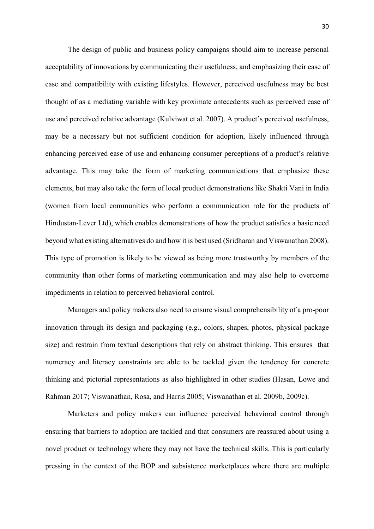The design of public and business policy campaigns should aim to increase personal acceptability of innovations by communicating their usefulness, and emphasizing their ease of ease and compatibility with existing lifestyles. However, perceived usefulness may be best thought of as a mediating variable with key proximate antecedents such as perceived ease of use and perceived relative advantage (Kulviwat et al. 2007). A product's perceived usefulness, may be a necessary but not sufficient condition for adoption, likely influenced through enhancing perceived ease of use and enhancing consumer perceptions of a product's relative advantage. This may take the form of marketing communications that emphasize these elements, but may also take the form of local product demonstrations like Shakti Vani in India (women from local communities who perform a communication role for the products of Hindustan‐Lever Ltd), which enables demonstrations of how the product satisfies a basic need beyond what existing alternatives do and how it is best used (Sridharan and Viswanathan 2008). This type of promotion is likely to be viewed as being more trustworthy by members of the community than other forms of marketing communication and may also help to overcome impediments in relation to perceived behavioral control.

Managers and policy makers also need to ensure visual comprehensibility of a pro-poor innovation through its design and packaging (e.g., colors, shapes, photos, physical package size) and restrain from textual descriptions that rely on abstract thinking. This ensures that numeracy and literacy constraints are able to be tackled given the tendency for concrete thinking and pictorial representations as also highlighted in other studies (Hasan, Lowe and Rahman 2017; Viswanathan, Rosa, and Harris 2005; Viswanathan et al. 2009b, 2009c).

Marketers and policy makers can influence perceived behavioral control through ensuring that barriers to adoption are tackled and that consumers are reassured about using a novel product or technology where they may not have the technical skills. This is particularly pressing in the context of the BOP and subsistence marketplaces where there are multiple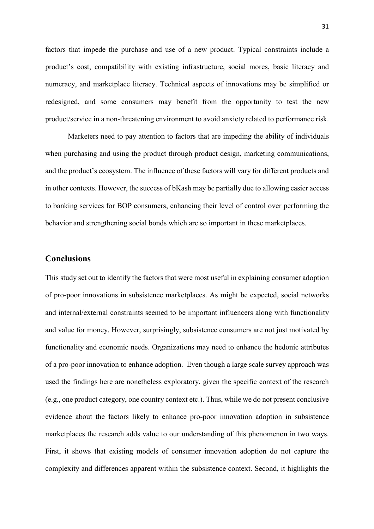factors that impede the purchase and use of a new product. Typical constraints include a product's cost, compatibility with existing infrastructure, social mores, basic literacy and numeracy, and marketplace literacy. Technical aspects of innovations may be simplified or redesigned, and some consumers may benefit from the opportunity to test the new product/service in a non-threatening environment to avoid anxiety related to performance risk.

Marketers need to pay attention to factors that are impeding the ability of individuals when purchasing and using the product through product design, marketing communications, and the product's ecosystem. The influence of these factors will vary for different products and in other contexts. However, the success of bKash may be partially due to allowing easier access to banking services for BOP consumers, enhancing their level of control over performing the behavior and strengthening social bonds which are so important in these marketplaces.

#### **Conclusions**

This study set out to identify the factors that were most useful in explaining consumer adoption of pro-poor innovations in subsistence marketplaces. As might be expected, social networks and internal/external constraints seemed to be important influencers along with functionality and value for money. However, surprisingly, subsistence consumers are not just motivated by functionality and economic needs. Organizations may need to enhance the hedonic attributes of a pro-poor innovation to enhance adoption. Even though a large scale survey approach was used the findings here are nonetheless exploratory, given the specific context of the research (e.g., one product category, one country context etc.). Thus, while we do not present conclusive evidence about the factors likely to enhance pro-poor innovation adoption in subsistence marketplaces the research adds value to our understanding of this phenomenon in two ways. First, it shows that existing models of consumer innovation adoption do not capture the complexity and differences apparent within the subsistence context. Second, it highlights the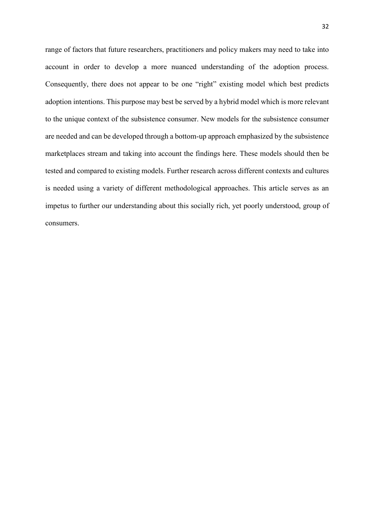range of factors that future researchers, practitioners and policy makers may need to take into account in order to develop a more nuanced understanding of the adoption process. Consequently, there does not appear to be one "right" existing model which best predicts adoption intentions. This purpose may best be served by a hybrid model which is more relevant to the unique context of the subsistence consumer. New models for the subsistence consumer are needed and can be developed through a bottom-up approach emphasized by the subsistence marketplaces stream and taking into account the findings here. These models should then be tested and compared to existing models. Further research across different contexts and cultures is needed using a variety of different methodological approaches. This article serves as an impetus to further our understanding about this socially rich, yet poorly understood, group of consumers.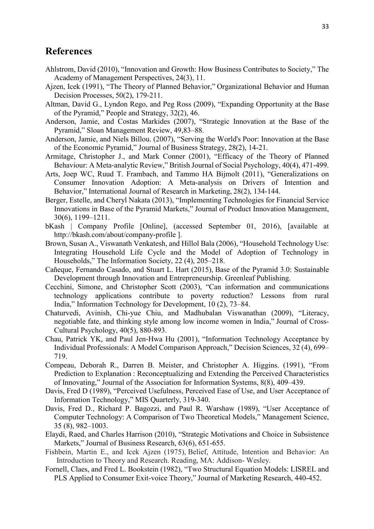#### **References**

- Ahlstrom, David (2010), "Innovation and Growth: How Business Contributes to Society," The Academy of Management Perspectives, 24(3), 11.
- Ajzen, Icek (1991), "The Theory of Planned Behavior," Organizational Behavior and Human Decision Processes, 50(2), 179-211.
- Altman, David G., Lyndon Rego, and Peg Ross (2009), "Expanding Opportunity at the Base of the Pyramid," People and Strategy, 32(2), 46.
- Anderson, Jamie, and Costas Markides (2007), "Strategic Innovation at the Base of the Pyramid," Sloan Management Review, 49,83–88.
- Anderson, Jamie, and Niels Billou. (2007), "Serving the World's Poor: Innovation at the Base of the Economic Pyramid," Journal of Business Strategy, 28(2), 14-21.
- Armitage, Christopher J., and Mark Conner (2001), "Efficacy of the Theory of Planned Behaviour: A Meta-analytic Review," British Journal of Social Psychology, 40(4), 471-499.
- Arts, Joep WC, Ruud T. Frambach, and Tammo HA Bijmolt (2011), "Generalizations on Consumer Innovation Adoption: A Meta-analysis on Drivers of Intention and Behavior," International Journal of Research in Marketing, 28(2), 134-144.
- Berger, Estelle, and Cheryl Nakata (2013), "Implementing Technologies for Financial Service Innovations in Base of the Pyramid Markets," Journal of Product Innovation Management, 30(6), 1199–1211.
- bKash | Company Profile [Online], (accessed September 01, 2016), [available at http://bkash.com/about/company-profile ].
- Brown, Susan A., Viswanath Venkatesh, and Hillol Bala (2006), "Household Technology Use: Integrating Household Life Cycle and the Model of Adoption of Technology in Households," The Information Society, 22 (4), 205–218.
- Cañeque, Fernando Casado, and Stuart L. Hart (2015), Base of the Pyramid 3.0: Sustainable Development through Innovation and Entrepreneurship. Greenleaf Publishing.
- Cecchini, Simone, and Christopher Scott (2003), "Can information and communications technology applications contribute to poverty reduction? Lessons from rural India," Information Technology for Development, 10 (2), 73–84.
- Chaturvedi, Avinish, Chi-yue Chiu, and Madhubalan Viswanathan (2009), "Literacy, negotiable fate, and thinking style among low income women in India," Journal of Cross-Cultural Psychology, 40(5), 880-893.
- Chau, Patrick YK, and Paul Jen‐Hwa Hu (2001), "Information Technology Acceptance by Individual Professionals: A Model Comparison Approach," Decision Sciences, 32 (4), 699– 719.
- Compeau, Deborah R., Darren B. Meister, and Christopher A. Higgins. (1991), "From Prediction to Explanation : Reconceptualizing and Extending the Perceived Characteristics of Innovating," Journal of the Association for Information Systems, 8(8), 409–439.
- Davis, Fred D (1989), "Perceived Usefulness, Perceived Ease of Use, and User Acceptance of Information Technology," MIS Quarterly, 319-340.
- Davis, Fred D., Richard P. Bagozzi, and Paul R. Warshaw (1989), "User Acceptance of Computer Technology: A Comparison of Two Theoretical Models," Management Science, 35 (8), 982–1003.
- Elaydi, Raed, and Charles Harrison (2010), "Strategic Motivations and Choice in Subsistence Markets," Journal of Business Research, 63(6), 651-655.
- Fishbein, Martin E., and Icek Ajzen (1975), Belief, Attitude, Intention and Behavior: An Introduction to Theory and Research. Reading, MA: Addison- Wesley.
- Fornell, Claes, and Fred L. Bookstein (1982), "Two Structural Equation Models: LISREL and PLS Applied to Consumer Exit-voice Theory," Journal of Marketing Research, 440-452.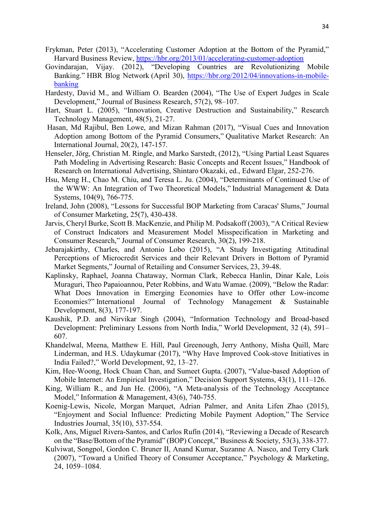- Frykman, Peter (2013), "Accelerating Customer Adoption at the Bottom of the Pyramid," Harvard Business Review, https://hbr.org/2013/01/accelerating-customer-adoption
- Govindarajan, Vijay. (2012), "Developing Countries are Revolutionizing Mobile Banking." HBR Blog Network (April 30), https://hbr.org/2012/04/innovations-in-mobilebanking
- Hardesty, David M., and William O. Bearden (2004), "The Use of Expert Judges in Scale Development," Journal of Business Research, 57(2), 98–107.
- Hart, Stuart L. (2005), "Innovation, Creative Destruction and Sustainability," Research Technology Management, 48(5), 21-27.
- Hasan, Md Rajibul, Ben Lowe, and Mizan Rahman (2017), "Visual Cues and Innovation Adoption among Bottom of the Pyramid Consumers," Qualitative Market Research: An International Journal, 20(2), 147-157.
- Henseler, Jörg, Christian M. Ringle, and Marko Sarstedt, (2012), "Using Partial Least Squares Path Modeling in Advertising Research: Basic Concepts and Recent Issues," Handbook of Research on International Advertising, Shintaro Okazaki, ed., Edward Elgar, 252-276.
- Hsu, Meng H., Chao M. Chiu, and Teresa L. Ju. (2004), "Determinants of Continued Use of the WWW: An Integration of Two Theoretical Models," Industrial Management & Data Systems, 104(9), 766-775.
- Ireland, John (2008), "Lessons for Successful BOP Marketing from Caracas' Slums," Journal of Consumer Marketing, 25(7), 430-438.
- Jarvis, Cheryl Burke, Scott B. MacKenzie, and Philip M. Podsakoff (2003), "A Critical Review of Construct Indicators and Measurement Model Misspecification in Marketing and Consumer Research," Journal of Consumer Research, 30(2), 199-218.
- Jebarajakirthy, Charles, and Antonio Lobo (2015), "A Study Investigating Attitudinal Perceptions of Microcredit Services and their Relevant Drivers in Bottom of Pyramid Market Segments," Journal of Retailing and Consumer Services, 23, 39-48.
- Kaplinsky, Raphael, Joanna Chataway, Norman Clark, Rebecca Hanlin, Dinar Kale, Lois Muraguri, Theo Papaioannou, Peter Robbins, and Watu Wamae. (2009), "Below the Radar: What Does Innovation in Emerging Economies have to Offer other Low-income Economies?" International Journal of Technology Management & Sustainable Development, 8(3), 177-197.
- Kaushik, P.D. and Nirvikar Singh (2004), "Information Technology and Broad-based Development: Preliminary Lessons from North India," World Development, 32 (4), 591– 607.
- Khandelwal, Meena, Matthew E. Hill, Paul Greenough, Jerry Anthony, Misha Quill, Marc Linderman, and H.S. Udaykumar (2017), "Why Have Improved Cook-stove Initiatives in India Failed?," World Development, 92, 13–27.
- Kim, Hee-Woong, Hock Chuan Chan, and Sumeet Gupta. (2007), "Value-based Adoption of Mobile Internet: An Empirical Investigation," Decision Support Systems, 43(1), 111–126.
- King, William R., and Jun He. (2006), "A Meta-analysis of the Technology Acceptance Model," Information & Management, 43(6), 740-755.
- Koenig-Lewis, Nicole, Morgan Marquet, Adrian Palmer, and Anita Lifen Zhao (2015), "Enjoyment and Social Influence: Predicting Mobile Payment Adoption," The Service Industries Journal, 35(10), 537-554.
- Kolk, Ans, Miguel Rivera-Santos, and Carlos Rufín (2014), "Reviewing a Decade of Research on the "Base/Bottom of the Pyramid" (BOP) Concept," Business & Society, 53(3), 338-377.
- Kulviwat, Songpol, Gordon C. Bruner II, Anand Kumar, Suzanne A. Nasco, and Terry Clark (2007), "Toward a Unified Theory of Consumer Acceptance," Psychology & Marketing, 24, 1059–1084.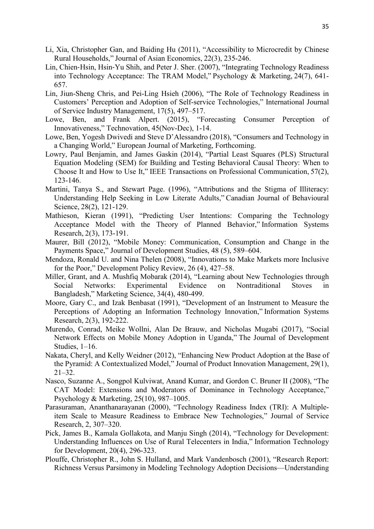- Li, Xia, Christopher Gan, and Baiding Hu (2011), "Accessibility to Microcredit by Chinese Rural Households," Journal of Asian Economics, 22(3), 235-246.
- Lin, Chien‐Hsin, Hsin‐Yu Shih, and Peter J. Sher. (2007), "Integrating Technology Readiness into Technology Acceptance: The TRAM Model," Psychology & Marketing, 24(7), 641- 657.
- Lin, Jiun-Sheng Chris, and Pei-Ling Hsieh (2006), "The Role of Technology Readiness in Customers' Perception and Adoption of Self-service Technologies," International Journal of Service Industry Management, 17(5), 497–517.
- Lowe, Ben, and Frank Alpert. (2015), "Forecasting Consumer Perception of Innovativeness," Technovation, 45(Nov-Dec), 1-14.
- Lowe, Ben, Yogesh Dwivedi and Steve D'Alessandro (2018), "Consumers and Technology in a Changing World," European Journal of Marketing, Forthcoming.
- Lowry, Paul Benjamin, and James Gaskin (2014), "Partial Least Squares (PLS) Structural Equation Modeling (SEM) for Building and Testing Behavioral Causal Theory: When to Choose It and How to Use It," IEEE Transactions on Professional Communication, 57(2), 123-146.
- Martini, Tanya S., and Stewart Page. (1996), "Attributions and the Stigma of Illiteracy: Understanding Help Seeking in Low Literate Adults," Canadian Journal of Behavioural Science, 28(2), 121-129.
- Mathieson, Kieran (1991), "Predicting User Intentions: Comparing the Technology Acceptance Model with the Theory of Planned Behavior," Information Systems Research, 2(3), 173-191.
- Maurer, Bill (2012), "Mobile Money: Communication, Consumption and Change in the Payments Space," Journal of Development Studies, 48 (5), 589–604.
- Mendoza, Ronald U. and Nina Thelen (2008), "Innovations to Make Markets more Inclusive for the Poor," Development Policy Review, 26 (4), 427–58.
- Miller, Grant, and A. Mushfiq Mobarak (2014), "Learning about New Technologies through Social Networks: Experimental Evidence on Nontraditional Stoves in Bangladesh," Marketing Science, 34(4), 480-499.
- Moore, Gary C., and Izak Benbasat (1991), "Development of an Instrument to Measure the Perceptions of Adopting an Information Technology Innovation," Information Systems Research, 2(3), 192-222.
- Murendo, Conrad, Meike Wollni, Alan De Brauw, and Nicholas Mugabi (2017), "Social Network Effects on Mobile Money Adoption in Uganda," The Journal of Development Studies, 1–16.
- Nakata, Cheryl, and Kelly Weidner (2012), "Enhancing New Product Adoption at the Base of the Pyramid: A Contextualized Model," Journal of Product Innovation Management, 29(1), 21–32.
- Nasco, Suzanne A., Songpol Kulviwat, Anand Kumar, and Gordon C. Bruner II (2008), "The CAT Model: Extensions and Moderators of Dominance in Technology Acceptance," Psychology & Marketing, 25(10), 987–1005.
- Parasuraman, Ananthanarayanan (2000), "Technology Readiness Index (TRI): A Multipleitem Scale to Measure Readiness to Embrace New Technologies," Journal of Service Research, 2, 307–320.
- Pick, James B., Kamala Gollakota, and Manju Singh (2014), "Technology for Development: Understanding Influences on Use of Rural Telecenters in India," Information Technology for Development, 20(4), 296-323.
- Plouffe, Christopher R., John S. Hulland, and Mark Vandenbosch (2001), "Research Report: Richness Versus Parsimony in Modeling Technology Adoption Decisions—Understanding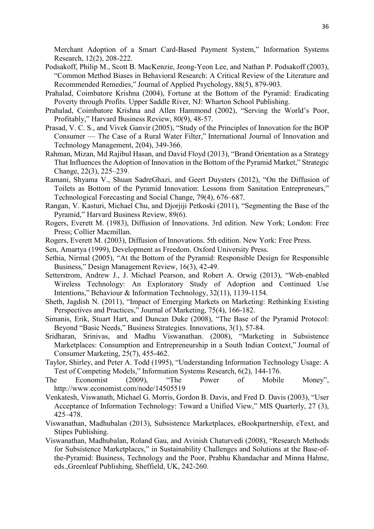Merchant Adoption of a Smart Card-Based Payment System," Information Systems Research, 12(2), 208-222.

- Podsakoff, Philip M., Scott B. MacKenzie, Jeong-Yeon Lee, and Nathan P. Podsakoff (2003), "Common Method Biases in Behavioral Research: A Critical Review of the Literature and Recommended Remedies," Journal of Applied Psychology, 88(5), 879-903.
- Prahalad, Coimbatore Krishna (2004), Fortune at the Bottom of the Pyramid: Eradicating Poverty through Profits. Upper Saddle River, NJ: Wharton School Publishing.
- Prahalad, Coimbatore Krishna and Allen Hammond (2002), "Serving the World's Poor, Profitably," Harvard Business Review, 80(9), 48-57.
- Prasad, V. C. S., and Vivek Ganvir (2005), "Study of the Principles of Innovation for the BOP Consumer — The Case of a Rural Water Filter," International Journal of Innovation and Technology Management, 2(04), 349-366.
- Rahman, Mizan, Md Rajibul Hasan, and David Floyd (2013), "Brand Orientation as a Strategy That Influences the Adoption of Innovation in the Bottom of the Pyramid Market," Strategic Change, 22(3), 225–239.
- Ramani, Shyama V., Shuan SadreGhazi, and Geert Duysters (2012), "On the Diffusion of Toilets as Bottom of the Pyramid Innovation: Lessons from Sanitation Entrepreneurs," Technological Forecasting and Social Change, 79(4), 676–687.
- Rangan, V. Kasturi, Michael Chu, and Djorjiji Petkoski (2011), "Segmenting the Base of the Pyramid," Harvard Business Review, 89(6).
- Rogers, Everett M. (1983), Diffusion of Innovations. 3rd edition. New York; London: Free Press; Collier Macmillan.
- Rogers, Everett M. (2003), Diffusion of Innovations. 5th edition. New York: Free Press.
- Sen, Amartya (1999), Development as Freedom. Oxford University Press.
- Sethia, Nirmal (2005), "At the Bottom of the Pyramid: Responsible Design for Responsible Business," Design Management Review, 16(3), 42-49.
- Setterstrom, Andrew J., J. Michael Pearson, and Robert A. Orwig (2013), "Web-enabled Wireless Technology: An Exploratory Study of Adoption and Continued Use Intentions," Behaviour & Information Technology, 32(11), 1139-1154.
- Sheth, Jagdish N. (2011), "Impact of Emerging Markets on Marketing: Rethinking Existing Perspectives and Practices," Journal of Marketing, 75(4), 166-182.
- Simanis, Erik, Stuart Hart, and Duncan Duke (2008), "The Base of the Pyramid Protocol: Beyond "Basic Needs," Business Strategies. Innovations, 3(1), 57-84.
- Sridharan, Srinivas, and Madhu Viswanathan. (2008), "Marketing in Subsistence Marketplaces: Consumption and Entrepreneurship in a South Indian Context," Journal of Consumer Marketing, 25(7), 455-462.
- Taylor, Shirley, and Peter A. Todd (1995), "Understanding Information Technology Usage: A Test of Competing Models," Information Systems Research, 6(2), 144-176.
- The Economist (2009), "The Power of Mobile Money", http://www.economist.com/node/14505519
- Venkatesh, Viswanath, Michael G. Morris, Gordon B. Davis, and Fred D. Davis (2003), "User Acceptance of Information Technology: Toward a Unified View," MIS Quarterly, 27 (3), 425–478.
- Viswanathan, Madhubalan (2013), Subsistence Marketplaces, eBookpartnership, eText, and Stipes Publishing.
- Viswanathan, Madhubalan, Roland Gau, and Avinish Chaturvedi (2008), "Research Methods for Subsistence Marketplaces," in Sustainability Challenges and Solutions at the Base-ofthe-Pyramid: Business, Technology and the Poor, Prabhu Khandachar and Minna Halme, eds.,Greenleaf Publishing, Sheffield, UK, 242-260.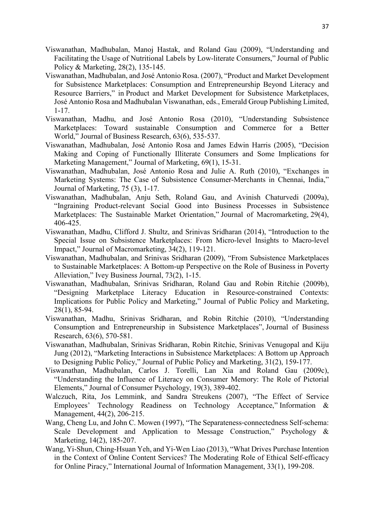- Viswanathan, Madhubalan, Manoj Hastak, and Roland Gau (2009), "Understanding and Facilitating the Usage of Nutritional Labels by Low-literate Consumers," Journal of Public Policy & Marketing, 28(2), 135-145.
- Viswanathan, Madhubalan, and José Antonio Rosa. (2007), "Product and Market Development for Subsistence Marketplaces: Consumption and Entrepreneurship Beyond Literacy and Resource Barriers," in Product and Market Development for Subsistence Marketplaces, José Antonio Rosa and Madhubalan Viswanathan, eds., Emerald Group Publishing Limited, 1-17.
- Viswanathan, Madhu, and José Antonio Rosa (2010), "Understanding Subsistence Marketplaces: Toward sustainable Consumption and Commerce for a Better World," Journal of Business Research, 63(6), 535-537.
- Viswanathan, Madhubalan, José Antonio Rosa and James Edwin Harris (2005), "Decision Making and Coping of Functionally Illiterate Consumers and Some Implications for Marketing Management," Journal of Marketing, 69(1), 15-31.
- Viswanathan, Madhubalan, José Antonio Rosa and Julie A. Ruth (2010), "Exchanges in Marketing Systems: The Case of Subsistence Consumer-Merchants in Chennai, India," Journal of Marketing, 75 (3), 1-17.
- Viswanathan, Madhubalan, Anju Seth, Roland Gau, and Avinish Chaturvedi (2009a), "Ingraining Product-relevant Social Good into Business Processes in Subsistence Marketplaces: The Sustainable Market Orientation," Journal of Macromarketing, 29(4), 406-425.
- Viswanathan, Madhu, Clifford J. Shultz, and Srinivas Sridharan (2014), "Introduction to the Special Issue on Subsistence Marketplaces: From Micro-level Insights to Macro-level Impact," Journal of Macromarketing, 34(2), 119-121.
- Viswanathan, Madhubalan, and Srinivas Sridharan (2009), "From Subsistence Marketplaces to Sustainable Marketplaces: A Bottom-up Perspective on the Role of Business in Poverty Alleviation," Ivey Business Journal, 73(2), 1-15.
- Viswanathan, Madhubalan, Srinivas Sridharan, Roland Gau and Robin Ritchie (2009b), "Designing Marketplace Literacy Education in Resource-constrained Contexts: Implications for Public Policy and Marketing," Journal of Public Policy and Marketing, 28(1), 85-94.
- Viswanathan, Madhu, Srinivas Sridharan, and Robin Ritchie (2010), "Understanding Consumption and Entrepreneurship in Subsistence Marketplaces", Journal of Business Research, 63(6), 570-581.
- Viswanathan, Madhubalan, Srinivas Sridharan, Robin Ritchie, Srinivas Venugopal and Kiju Jung (2012), "Marketing Interactions in Subsistence Marketplaces: A Bottom up Approach to Designing Public Policy," Journal of Public Policy and Marketing, 31(2), 159-177.
- Viswanathan, Madhubalan, Carlos J. Torelli, Lan Xia and Roland Gau (2009c), "Understanding the Influence of Literacy on Consumer Memory: The Role of Pictorial Elements," Journal of Consumer Psychology, 19(3), 389-402.
- Walczuch, Rita, Jos Lemmink, and Sandra Streukens (2007), "The Effect of Service Employees' Technology Readiness on Technology Acceptance," Information & Management, 44(2), 206-215.
- Wang, Cheng Lu, and John C. Mowen (1997), "The Separateness-connectedness Self-schema: Scale Development and Application to Message Construction," Psychology & Marketing, 14(2), 185-207.
- Wang, Yi-Shun, Ching-Hsuan Yeh, and Yi-Wen Liao (2013), "What Drives Purchase Intention in the Context of Online Content Services? The Moderating Role of Ethical Self-efficacy for Online Piracy," International Journal of Information Management, 33(1), 199-208.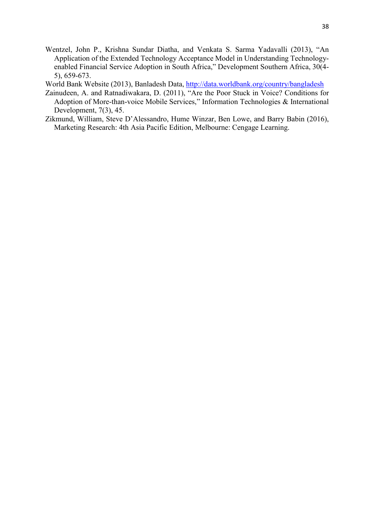- Wentzel, John P., Krishna Sundar Diatha, and Venkata S. Sarma Yadavalli (2013), "An Application of the Extended Technology Acceptance Model in Understanding Technologyenabled Financial Service Adoption in South Africa," Development Southern Africa, 30(4- 5), 659-673.
- World Bank Website (2013), Banladesh Data, http://data.worldbank.org/country/bangladesh
- Zainudeen, A. and Ratnadiwakara, D. (2011), "Are the Poor Stuck in Voice? Conditions for Adoption of More-than-voice Mobile Services," Information Technologies & International Development, 7(3), 45.
- Zikmund, William, Steve D'Alessandro, Hume Winzar, Ben Lowe, and Barry Babin (2016), Marketing Research: 4th Asia Pacific Edition, Melbourne: Cengage Learning.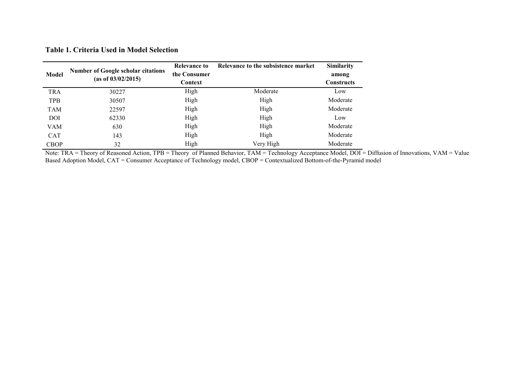| <b>Model</b> | <b>Number of Google scholar citations</b><br>(as of 03/02/2015) | Relevance to<br>the Consumer | Relevance to the subsistence market | <b>Similarity</b><br>among |
|--------------|-----------------------------------------------------------------|------------------------------|-------------------------------------|----------------------------|
|              |                                                                 | Context                      |                                     | <b>Constructs</b>          |
| <b>TRA</b>   | 30227                                                           | High                         | Moderate                            | Low                        |
| <b>TPB</b>   | 30507                                                           | High                         | High                                | Moderate                   |
| TAM          | 22597                                                           | High                         | High                                | Moderate                   |

DOI 62330 High High Low VAM 630 630 High High High Moderate CAT 143 High High High Moderate CBOP 32 High Very High Moderate

**Table 1. Criteria Used in Model Selection**

Note: TRA = Theory of Reasoned Action, TPB = Theory of Planned Behavior, TAM = Technology Acceptance Model, DOI = Diffusion of Innovations, VAM = Value Based Adoption Model, CAT = Consumer Acceptance of Technology model, CBOP = Contextualized Bottom-of-the-Pyramid model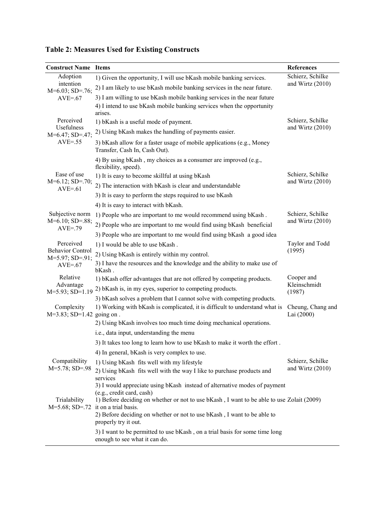| <b>Construct Name Items</b>                 |                                                                                                                        | References             |  |  |  |  |  |  |
|---------------------------------------------|------------------------------------------------------------------------------------------------------------------------|------------------------|--|--|--|--|--|--|
| Adoption                                    | 1) Given the opportunity, I will use bKash mobile banking services.                                                    | Schierz, Schilke       |  |  |  |  |  |  |
| intention<br>$M=6.03; SD=.76;$              | 2) I am likely to use bKash mobile banking services in the near future.                                                | and Wirtz $(2010)$     |  |  |  |  |  |  |
| $AVE = 67$                                  | 3) I am willing to use bKash mobile banking services in the near future                                                |                        |  |  |  |  |  |  |
|                                             | 4) I intend to use bKash mobile banking services when the opportunity<br>arises.                                       |                        |  |  |  |  |  |  |
| Perceived                                   | 1) bKash is a useful mode of payment.                                                                                  | Schierz, Schilke       |  |  |  |  |  |  |
| Usefulness<br>$M=6.47; SD=0.47;$            | 2) Using bKash makes the handling of payments easier.                                                                  | and Wirtz $(2010)$     |  |  |  |  |  |  |
| $AVE=.55$                                   | 3) bKash allow for a faster usage of mobile applications (e.g., Money<br>Transfer, Cash In, Cash Out).                 |                        |  |  |  |  |  |  |
|                                             | 4) By using bKash, my choices as a consumer are improved (e.g.,<br>flexibility, speed).                                |                        |  |  |  |  |  |  |
| Ease of use                                 | 1) It is easy to become skillful at using bKash                                                                        | Schierz, Schilke       |  |  |  |  |  |  |
| $M=6.12$ ; SD=.70;<br>$AVE = 61$            | 2) The interaction with bKash is clear and understandable                                                              | and Wirtz $(2010)$     |  |  |  |  |  |  |
|                                             | 3) It is easy to perform the steps required to use bKash                                                               |                        |  |  |  |  |  |  |
|                                             | 4) It is easy to interact with bKash.                                                                                  |                        |  |  |  |  |  |  |
| Subjective norm                             | 1) People who are important to me would recommend using bKash.                                                         | Schierz, Schilke       |  |  |  |  |  |  |
| $M=6.10; SD=.88;$<br>$AVE=.79$              | 2) People who are important to me would find using bKash beneficial                                                    | and Wirtz $(2010)$     |  |  |  |  |  |  |
|                                             | 3) People who are important to me would find using bKash a good idea                                                   |                        |  |  |  |  |  |  |
| Perceived                                   | 1) I would be able to use bKash.                                                                                       | Taylor and Todd        |  |  |  |  |  |  |
| <b>Behavior Control</b><br>$M=5.97; SD=91;$ | 2) Using bKash is entirely within my control.                                                                          | (1995)                 |  |  |  |  |  |  |
| $AVE = .67$                                 | 3) I have the resources and the knowledge and the ability to make use of<br>bKash.                                     |                        |  |  |  |  |  |  |
| Relative                                    | 1) bKash offer advantages that are not offered by competing products.                                                  | Cooper and             |  |  |  |  |  |  |
| Advantage<br>M=5.93; SD=1.19                | 2) bKash is, in my eyes, superior to competing products.                                                               | Kleinschmidt<br>(1987) |  |  |  |  |  |  |
|                                             | 3) bKash solves a problem that I cannot solve with competing products.                                                 |                        |  |  |  |  |  |  |
| Complexity                                  | 1) Working with bKash is complicated, it is difficult to understand what is                                            | Cheung, Chang and      |  |  |  |  |  |  |
| M=3.83; SD=1.42 going on.                   |                                                                                                                        | Lai (2000)             |  |  |  |  |  |  |
|                                             | 2) Using bKash involves too much time doing mechanical operations.                                                     |                        |  |  |  |  |  |  |
|                                             | i.e., data input, understanding the menu                                                                               |                        |  |  |  |  |  |  |
|                                             | 3) It takes too long to learn how to use bKash to make it worth the effort.                                            |                        |  |  |  |  |  |  |
| Compatibility                               | 4) In general, bKash is very complex to use.                                                                           | Schierz, Schilke       |  |  |  |  |  |  |
| $M=5.78; SD=.98$                            | 1) Using bKash fits well with my lifestyle                                                                             | and Wirtz $(2010)$     |  |  |  |  |  |  |
|                                             | 2) Using bKash fits well with the way I like to purchase products and<br>services                                      |                        |  |  |  |  |  |  |
|                                             | 3) I would appreciate using bKash instead of alternative modes of payment                                              |                        |  |  |  |  |  |  |
| Trialability                                | (e.g., credit card, cash)<br>1) Before deciding on whether or not to use bKash, I want to be able to use Zolait (2009) |                        |  |  |  |  |  |  |
| $M=5.68; SD=.72$                            | it on a trial basis.                                                                                                   |                        |  |  |  |  |  |  |
|                                             | 2) Before deciding on whether or not to use bKash, I want to be able to                                                |                        |  |  |  |  |  |  |
|                                             | properly try it out.                                                                                                   |                        |  |  |  |  |  |  |
|                                             | 3) I want to be permitted to use bKash, on a trial basis for some time long<br>enough to see what it can do.           |                        |  |  |  |  |  |  |

**Table 2: Measures Used for Existing Constructs**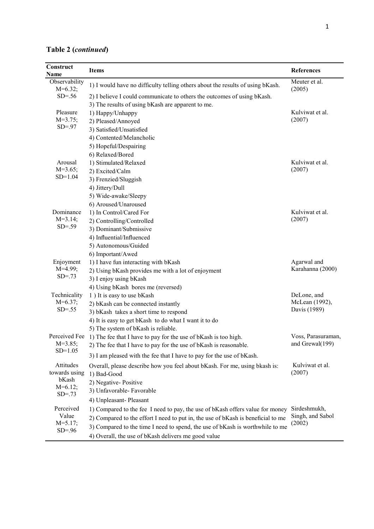|  | Table 2 (continued) |
|--|---------------------|
|  |                     |

I

| Construct<br>Name                                              | <b>Items</b>                                                                                                                                                                                                                                                                                              | References                                    |
|----------------------------------------------------------------|-----------------------------------------------------------------------------------------------------------------------------------------------------------------------------------------------------------------------------------------------------------------------------------------------------------|-----------------------------------------------|
| Observability<br>$M=6.32$ ;                                    | 1) I would have no difficulty telling others about the results of using bKash.                                                                                                                                                                                                                            | Meuter et al.<br>(2005)                       |
| $SD=.56$                                                       | 2) I believe I could communicate to others the outcomes of using bKash.<br>3) The results of using bKash are apparent to me.                                                                                                                                                                              |                                               |
| Pleasure<br>$M=3.75;$<br>$SD = .97$                            | 1) Happy/Unhappy<br>2) Pleased/Annoyed<br>3) Satisfied/Unsatisfied<br>4) Contented/Melancholic                                                                                                                                                                                                            | Kulviwat et al.<br>(2007)                     |
| Arousal<br>$M=3.65$ ;<br>$SD=1.04$                             | 5) Hopeful/Despairing<br>6) Relaxed/Bored<br>1) Stimulated/Relaxed<br>2) Excited/Calm<br>3) Frenzied/Sluggish<br>4) Jittery/Dull                                                                                                                                                                          | Kulviwat et al.<br>(2007)                     |
| Dominance<br>$M=3.14;$<br>$SD=.59$                             | 5) Wide-awake/Sleepy<br>6) Aroused/Unaroused<br>1) In Control/Cared For<br>2) Controlling/Controlled<br>3) Dominant/Submissive<br>4) Influential/Influenced                                                                                                                                               | Kulviwat et al.<br>(2007)                     |
| Enjoyment<br>$M=4.99;$<br>$SD = .73$                           | 5) Autonomous/Guided<br>6) Important/Awed<br>1) I have fun interacting with bKash<br>2) Using bKash provides me with a lot of enjoyment<br>3) I enjoy using bKash                                                                                                                                         | Agarwal and<br>Karahanna (2000)               |
| Technicality<br>$M=6.37;$<br>$SD = .55$                        | 4) Using bKash bores me (reversed)<br>1) It is easy to use bKash<br>2) bKash can be connected instantly<br>3) bKash takes a short time to respond<br>4) It is easy to get bKash to do what I want it to do                                                                                                | DeLone, and<br>McLean (1992),<br>Davis (1989) |
| Perceived Fee<br>$M=3.85;$<br>$SD=1.05$                        | 5) The system of bKash is reliable.<br>1) The fee that I have to pay for the use of bKash is too high.<br>2) The fee that I have to pay for the use of bKash is reasonable.<br>3) I am pleased with the fee that I have to pay for the use of bKash.                                                      | Voss, Parasuraman,<br>and Grewal(199)         |
| Attitudes<br>towards using<br>bKash<br>$M=6.12;$<br>$SD = .73$ | Overall, please describe how you feel about bKash. For me, using bkash is:<br>1) Bad-Good<br>2) Negative-Positive<br>3) Unfavorable- Favorable<br>4) Unpleasant-Pleasant                                                                                                                                  | Kulviwat et al.<br>(2007)                     |
| Perceived<br>Value<br>$M = 5.17$ ;<br>$SD = .96$               | 1) Compared to the fee I need to pay, the use of bKash offers value for money<br>2) Compared to the effort I need to put in, the use of bKash is beneficial to me<br>3) Compared to the time I need to spend, the use of bKash is worthwhile to me<br>4) Overall, the use of bKash delivers me good value | Sirdeshmukh,<br>Singh, and Sabol<br>(2002)    |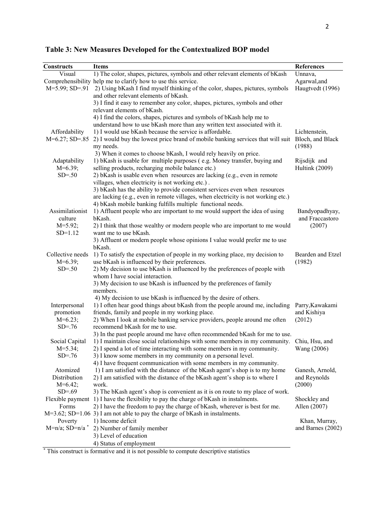| Constructs                    | <b>Items</b>                                                                                                                 | References        |
|-------------------------------|------------------------------------------------------------------------------------------------------------------------------|-------------------|
| Visual                        | 1) The color, shapes, pictures, symbols and other relevant elements of bKash                                                 | Unnava,           |
|                               | Comprehensibility help me to clarify how to use this service.                                                                | Agarwal, and      |
| $M=5.99; SD=0.91$             | 2) Using bKash I find myself thinking of the color, shapes, pictures, symbols                                                | Haugtvedt (1996)  |
|                               | and other relevant elements of bKash.                                                                                        |                   |
|                               | 3) I find it easy to remember any color, shapes, pictures, symbols and other                                                 |                   |
|                               | relevant elements of bKash.                                                                                                  |                   |
|                               | 4) I find the colors, shapes, pictures and symbols of bKash help me to                                                       |                   |
|                               | understand how to use bKash more than any written text associated with it.                                                   |                   |
| Affordability                 | 1) I would use bKash because the service is affordable.                                                                      | Lichtenstein,     |
| $M=6.27$ ; SD=.85             | 2) I would buy the lowest price brand of mobile banking services that will suit                                              | Bloch, and Black  |
|                               | my needs.                                                                                                                    | (1988)            |
|                               | 3) When it comes to choose bKash, I would rely heavily on price.                                                             |                   |
| Adaptability                  | 1) bKash is usable for multiple purposes (e.g. Money transfer, buying and                                                    | Rijsdijk and      |
| $M=6.39;$                     | selling products, recharging mobile balance etc.)                                                                            | Hultink (2009)    |
| $SD=.50$                      | 2) bKash is usable even when resources are lacking (e.g., even in remote                                                     |                   |
|                               | villages, when electricity is not working etc.).                                                                             |                   |
|                               | 3) bKash has the ability to provide consistent services even when resources                                                  |                   |
|                               | are lacking (e.g., even in remote villages, when electricity is not working etc.)                                            |                   |
|                               | 4) bKash mobile banking fulfills multiple functional needs.                                                                  |                   |
| Assimilationist               | 1) Affluent people who are important to me would support the idea of using                                                   | Bandyopadhyay,    |
| culture                       | bKash.                                                                                                                       | and Fraccastoro   |
| $M=5.92;$                     | 2) I think that those wealthy or modern people who are important to me would                                                 | (2007)            |
| $SD=1.12$                     | want me to use bKash.                                                                                                        |                   |
|                               | 3) Affluent or modern people whose opinions I value would prefer me to use                                                   |                   |
|                               | bKash.                                                                                                                       |                   |
| Collective needs              | 1) To satisfy the expectation of people in my working place, my decision to                                                  | Bearden and Etzel |
| $M=6.39;$<br>$SD=.50$         | use bKash is influenced by their preferences.<br>2) My decision to use bKash is influenced by the preferences of people with | (1982)            |
|                               | whom I have social interaction.                                                                                              |                   |
|                               | 3) My decision to use bKash is influenced by the preferences of family                                                       |                   |
|                               | members.                                                                                                                     |                   |
|                               | 4) My decision to use bKash is influenced by the desire of others.                                                           |                   |
| Interpersonal                 | 1) I often hear good things about bKash from the people around me, including                                                 | Parry, Kawakami   |
| promotion                     | friends, family and people in my working place.                                                                              | and Kishiya       |
| $M=6.23$ ;                    | 2) When I look at mobile banking service providers, people around me often                                                   | (2012)            |
| $SD = .76$                    | recommend bKash for me to use.                                                                                               |                   |
|                               | 3) In the past people around me have often recommended bKash for me to use.                                                  |                   |
| Social Capital                | 1) I maintain close social relationships with some members in my community. Chiu, Hsu, and                                   |                   |
| $M = 5.34$ ;                  | 2) I spend a lot of time interacting with some members in my community.                                                      | Wang (2006)       |
| $SD=.76$                      | 3) I know some members in my community on a personal level.                                                                  |                   |
|                               | 4) I have frequent communication with some members in my community.                                                          |                   |
| Atomized                      | 1) I am satisfied with the distance of the bKash agent's shop is to my home                                                  | Ganesh, Arnold,   |
| Distribution                  | 2) I am satisfied with the distance of the bKash agent's shop is to where I                                                  | and Reynolds      |
| $M=6.42$ ;                    | work.                                                                                                                        | (2000)            |
| $SD=.69$                      | 3) The bKash agent's shop is convenient as it is on route to my place of work.                                               |                   |
|                               | Flexible payment 1) I have the flexibility to pay the charge of bKash in instalments.                                        | Shockley and      |
| Forms                         | 2) I have the freedom to pay the charge of bKash, wherever is best for me.                                                   | Allen (2007)      |
|                               | $M=3.62$ ; SD=1.06 3) I am not able to pay the charge of bKash in instalments.                                               |                   |
| Poverty                       | 1) Income deficit                                                                                                            | Khan, Murray,     |
| $M=n/a$ ; SD=n/a <sup>*</sup> | 2) Number of family member                                                                                                   | and Barnes (2002) |
|                               | 3) Level of education                                                                                                        |                   |
|                               | 4) Status of employment                                                                                                      |                   |

**Table 3: New Measures Developed for the Contextualized BOP model** 

\* This construct is formative and it is not possible to compute descriptive statistics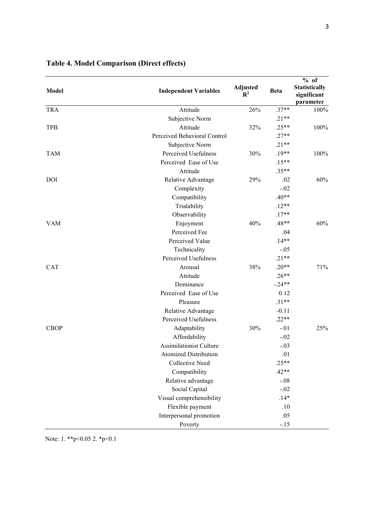| <b>Model</b> | <b>Independent Variables</b>   | <b>Adjusted</b><br>$\mathbf{R}^2$ | <b>Beta</b> | $%$ of<br>Statistically<br>significant<br>parameter |
|--------------|--------------------------------|-----------------------------------|-------------|-----------------------------------------------------|
| <b>TRA</b>   | Attitude                       | 26%                               | $.37**$     | 100%                                                |
|              | Subjective Norm                |                                   | $.21**$     |                                                     |
| <b>TPB</b>   | Attitude                       | 32%                               | $.25**$     | 100%                                                |
|              | Perceived Behavioral Control   |                                   | $.27**$     |                                                     |
|              | Subjective Norm                |                                   | $.21**$     |                                                     |
| <b>TAM</b>   | Perceived Usefulness           | 30%                               | $.19**$     | 100%                                                |
|              | Perceived Ease of Use          |                                   | $.15**$     |                                                     |
|              | Attitude                       |                                   | $.35**$     |                                                     |
| <b>DOI</b>   | Relative Advantage             | 29%                               | .02         | 60%                                                 |
|              | Complexity                     |                                   | $-.02$      |                                                     |
|              | Compatibility                  |                                   | $.40**$     |                                                     |
|              | Trialability                   |                                   | $.12**$     |                                                     |
|              | Observability                  |                                   | $.17**$     |                                                     |
| <b>VAM</b>   | Enjoyment                      | 40%                               | $.48**$     | 60%                                                 |
|              | Perceived Fee                  |                                   | .04         |                                                     |
|              | Perceived Value                |                                   | $.14**$     |                                                     |
|              | Technicality                   |                                   | $-.05$      |                                                     |
|              | Perceived Usefulness           |                                   | $.21**$     |                                                     |
| CAT          | Arousal                        | 38%                               | $.20**$     | 71%                                                 |
|              | Attitude                       |                                   | $.26**$     |                                                     |
|              | Dominance                      |                                   | $-.24**$    |                                                     |
|              | Perceived Ease of Use          |                                   | 0.12        |                                                     |
|              | Pleasure                       |                                   | $.31**$     |                                                     |
|              | Relative Advantage             |                                   | $-0.11$     |                                                     |
|              | Perceived Usefulness           |                                   | $.22**$     |                                                     |
| <b>CBOP</b>  | Adaptability                   | 30%                               | $-.01$      | 25%                                                 |
|              | Affordability                  |                                   | $-.02$      |                                                     |
|              | <b>Assimilationist Culture</b> |                                   | $-.03$      |                                                     |
|              | <b>Atomized Distribution</b>   |                                   | .01         |                                                     |
|              | <b>Collective Need</b>         |                                   | $.25**$     |                                                     |
|              | Compatibility                  |                                   | $.42**$     |                                                     |
|              | Relative advantage             |                                   | $-.08$      |                                                     |
|              | Social Capital                 |                                   | $-.02$      |                                                     |
|              | Visual comprehensibility       |                                   | $.14*$      |                                                     |
|              | Flexible payment               |                                   | .10         |                                                     |
|              | Interpersonal promotion        |                                   | .05         |                                                     |
|              | Poverty                        |                                   | $-.15$      |                                                     |

### **Table 4. Model Comparison (Direct effects)**

Note: 1. \*\*p<0.05 2. \*p<0.1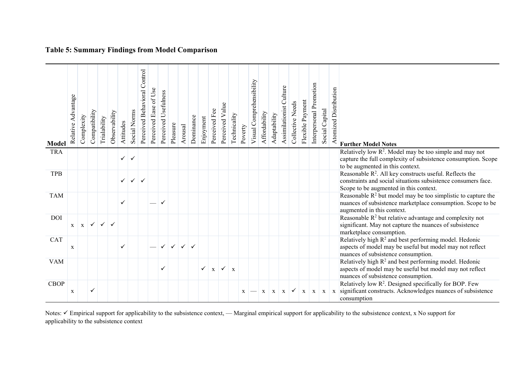| <b>Model</b> | Relative Advantage | Complexity   | Compatibility             | Trialability | Observability | Attitudes    | Social Norms | Perceived Behavioral Control | Perceived Ease of Use | Perceived Usefulness | Pleasure     | Arousal | Dominance                 | Enjoyment    | Perceived Fee | Perceived Value | Technicality | Poverty | Visual Comprehensibility | Affordability | Adaptability | Assimilationist Culture | Collective Needs                             | Flexible Payment | Interpersonal Promotion | Social Capital | Atomized Distribution | <b>Further Model Notes</b>                                                                                                                                   |
|--------------|--------------------|--------------|---------------------------|--------------|---------------|--------------|--------------|------------------------------|-----------------------|----------------------|--------------|---------|---------------------------|--------------|---------------|-----------------|--------------|---------|--------------------------|---------------|--------------|-------------------------|----------------------------------------------|------------------|-------------------------|----------------|-----------------------|--------------------------------------------------------------------------------------------------------------------------------------------------------------|
| <b>TRA</b>   |                    |              |                           |              |               |              |              |                              |                       |                      |              |         |                           |              |               |                 |              |         |                          |               |              |                         |                                              |                  |                         |                |                       | Relatively low $R^2$ . Model may be too simple and may not                                                                                                   |
|              |                    |              |                           |              |               | $\checkmark$ | $\checkmark$ |                              |                       |                      |              |         |                           |              |               |                 |              |         |                          |               |              |                         |                                              |                  |                         |                |                       | capture the full complexity of subsistence consumption. Scope<br>to be augmented in this context.                                                            |
| <b>TPB</b>   |                    |              |                           |              |               |              |              |                              |                       |                      |              |         |                           |              |               |                 |              |         |                          |               |              |                         |                                              |                  |                         |                |                       | Reasonable R <sup>2</sup> . All key constructs useful. Reflects the                                                                                          |
|              |                    |              |                           |              |               | $\checkmark$ | $\checkmark$ | $\checkmark$                 |                       |                      |              |         |                           |              |               |                 |              |         |                          |               |              |                         |                                              |                  |                         |                |                       | constraints and social situations subsistence consumers face.<br>Scope to be augmented in this context.                                                      |
| <b>TAM</b>   |                    |              |                           |              |               | ✓            |              |                              |                       |                      |              |         |                           |              |               |                 |              |         |                          |               |              |                         |                                              |                  |                         |                |                       | Reasonable $R^2$ but model may be too simplistic to capture the<br>nuances of subsistence marketplace consumption. Scope to be<br>augmented in this context. |
| DOI          | $\mathbf{X}$       | $\mathbf{X}$ | $\langle \bigvee \rangle$ | $\checkmark$ | $\checkmark$  |              |              |                              |                       |                      |              |         |                           |              |               |                 |              |         |                          |               |              |                         |                                              |                  |                         |                |                       | Reasonable $R^2$ but relative advantage and complexity not<br>significant. May not capture the nuances of subsistence<br>marketplace consumption.            |
| <b>CAT</b>   | X                  |              |                           |              |               | ✓            |              |                              |                       | $\checkmark$         | $\checkmark$ |         | $\checkmark$ $\checkmark$ |              |               |                 |              |         |                          |               |              |                         |                                              |                  |                         |                |                       | Relatively high R <sup>2</sup> and best performing model. Hedonic<br>aspects of model may be useful but model may not reflect                                |
| <b>VAM</b>   |                    |              |                           |              |               |              |              |                              |                       |                      |              |         |                           |              |               |                 |              |         |                          |               |              |                         |                                              |                  |                         |                |                       | nuances of subsistence consumption.<br>Relatively high $R^2$ and best performing model. Hedonic                                                              |
|              |                    |              |                           |              |               |              |              |                              |                       | $\checkmark$         |              |         |                           | $\checkmark$ | $\mathbf{x}$  | $\checkmark$    | $\mathbf{X}$ |         |                          |               |              |                         |                                              |                  |                         |                |                       | aspects of model may be useful but model may not reflect<br>nuances of subsistence consumption.                                                              |
| <b>CBOP</b>  |                    |              |                           |              |               |              |              |                              |                       |                      |              |         |                           |              |               |                 |              |         |                          |               |              |                         |                                              |                  |                         |                |                       | Relatively low R <sup>2</sup> . Designed specifically for BOP. Few                                                                                           |
|              | $\mathbf X$        |              | ✓                         |              |               |              |              |                              |                       |                      |              |         |                           |              |               |                 |              | X       |                          | $\mathbf{X}$  |              |                         | $\mathbf{x} \mid \mathbf{x} \mid \mathbf{v}$ |                  |                         |                |                       | $x \mid x \mid x$ significant constructs. Acknowledges nuances of subsistence<br>consumption                                                                 |
|              |                    |              |                           |              |               |              |              |                              |                       |                      |              |         |                           |              |               |                 |              |         |                          |               |              |                         |                                              |                  |                         |                |                       |                                                                                                                                                              |

**Table 5: Summary Findings from Model Comparison** 

Notes: ✓ Empirical support for applicability to the subsistence context, — Marginal empirical support for applicability to the subsistence context, x No support for applicability to the subsistence context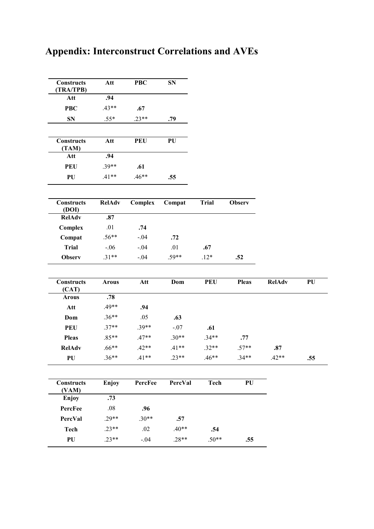| <b>Constructs</b><br>(TRA/TPB) | Att          | <b>PBC</b> | <b>SN</b> |              |                  |               |     |
|--------------------------------|--------------|------------|-----------|--------------|------------------|---------------|-----|
| Att                            | .94          |            |           |              |                  |               |     |
| <b>PBC</b>                     | $.43**$      | .67        |           |              |                  |               |     |
| <b>SN</b>                      | $.55*$       | $.23**$    | .79       |              |                  |               |     |
|                                |              |            |           |              |                  |               |     |
| <b>Constructs</b><br>(TAM)     | Att          | <b>PEU</b> | PU        |              |                  |               |     |
| Att                            | .94          |            |           |              |                  |               |     |
| <b>PEU</b>                     | $.39**$      | .61        |           |              |                  |               |     |
| PU                             | $.41**$      | $.46**$    | .55       |              |                  |               |     |
| <b>Constructs</b><br>(DOI)     | RelAdv       | Complex    | Compat    | <b>Trial</b> | <b>Observ</b>    |               |     |
| <b>RelAdv</b>                  | .87          |            |           |              |                  |               |     |
| Complex                        | .01          | .74        |           |              |                  |               |     |
| Compat                         | $.56**$      | $-.04$     | .72       |              |                  |               |     |
| <b>Trial</b>                   | $-.06$       | $-.04$     | .01       | .67          |                  |               |     |
| <b>Observ</b>                  | $.31**$      | $-.04$     | $.59**$   | $.12*$       | .52              |               |     |
| <b>Constructs</b><br>(CAT)     | <b>Arous</b> | Att        | Dom       | <b>PEU</b>   | <b>Pleas</b>     | <b>RelAdv</b> | PU  |
| <b>Arous</b>                   | .78          |            |           |              |                  |               |     |
| Att                            | $.49**$      | .94        |           |              |                  |               |     |
| Dom                            | $.36**$      | .05        | .63       |              |                  |               |     |
| <b>PEU</b>                     | $.37**$      | $.39**$    | $-.07$    | .61          |                  |               |     |
| <b>Pleas</b>                   | $.85**$      | $.47**$    | $.30**$   | $.34**$      | .77              |               |     |
| <b>RelAdv</b>                  | $.66**$      | $.42**$    | $.41**$   | $.32**$      | $.57**$          | .87           |     |
| PU                             | $.36**$      | $.41**$    | $23**$    | $.46**$      | $.34**$          | $42**$        | .55 |
| <b>Constructs</b><br>(VAM)     | Enjoy        | PercFee    | PercVal   | Tech         | ${\bf P}{\bf U}$ |               |     |
| Enjoy                          | .73          |            |           |              |                  |               |     |
| PercFee                        | $.08\,$      | .96        |           |              |                  |               |     |
| PercVal                        | $.29**$      | $.30**$    | .57       |              |                  |               |     |
| <b>Tech</b>                    | $.23**$      | .02        | $.40**$   | .54          |                  |               |     |
| PU                             | $.23**$      | $-.04$     | $.28**$   | $.50**$      | .55              |               |     |

ш,

 $\equiv$ 

## **Appendix: Interconstruct Correlations and AVEs**